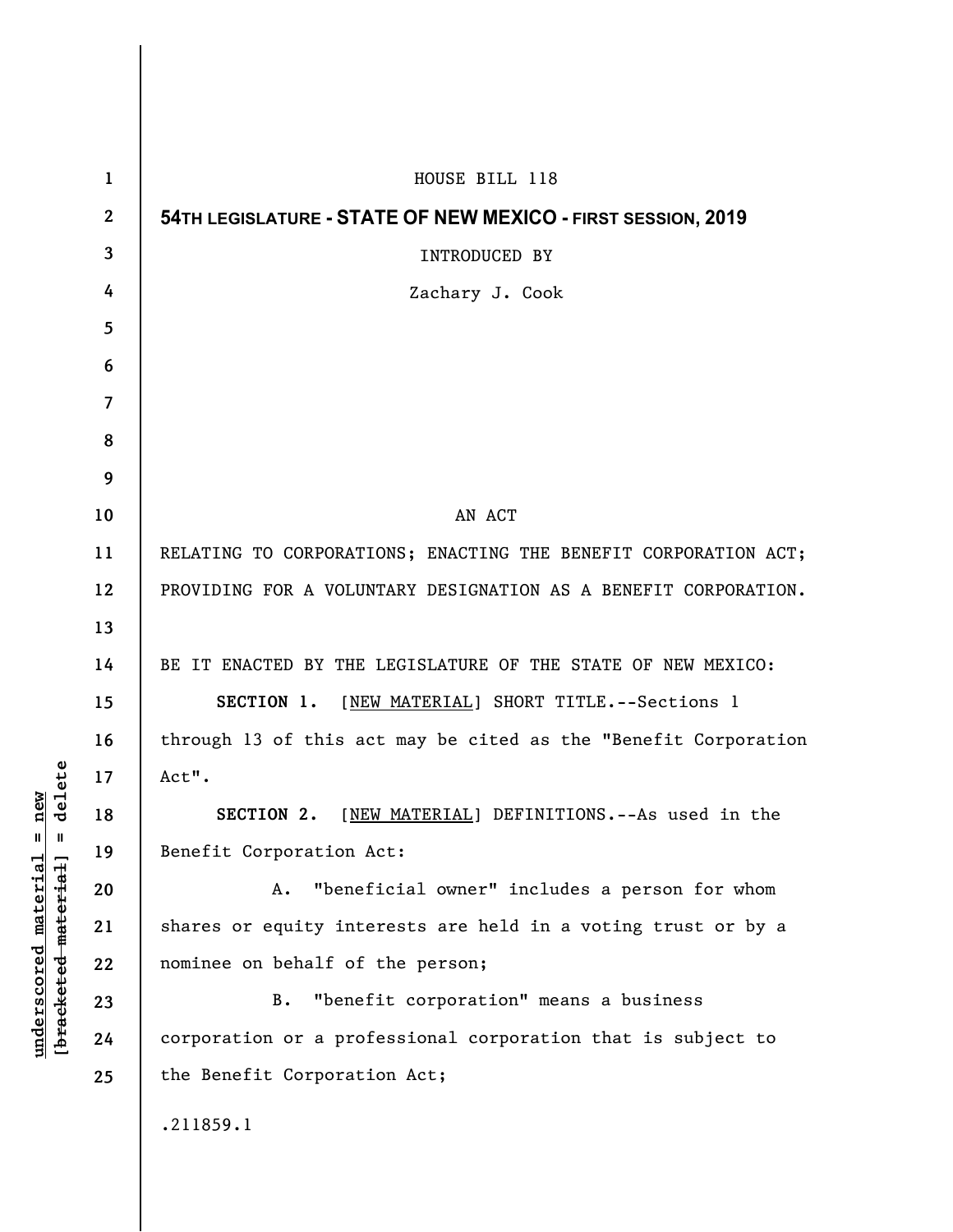| $\mathbf{1}$     | HOUSE BILL 118                                                  |
|------------------|-----------------------------------------------------------------|
| $\boldsymbol{2}$ | 54TH LEGISLATURE - STATE OF NEW MEXICO - FIRST SESSION, 2019    |
| 3                | INTRODUCED BY                                                   |
| 4                | Zachary J. Cook                                                 |
| 5                |                                                                 |
| 6                |                                                                 |
| $\overline{7}$   |                                                                 |
| 8                |                                                                 |
| 9                |                                                                 |
| 10               | AN ACT                                                          |
| 11               | RELATING TO CORPORATIONS; ENACTING THE BENEFIT CORPORATION ACT; |
| 12               | PROVIDING FOR A VOLUNTARY DESIGNATION AS A BENEFIT CORPORATION. |
| 13               |                                                                 |
| 14               | BE IT ENACTED BY THE LEGISLATURE OF THE STATE OF NEW MEXICO:    |
| 15               | SECTION 1. [NEW MATERIAL] SHORT TITLE. -- Sections 1            |
| 16               | through 13 of this act may be cited as the "Benefit Corporation |
| 17               | Act".                                                           |
| 18               | SECTION 2. [NEW MATERIAL] DEFINITIONS.--As used in the          |
| 19               | Benefit Corporation Act:                                        |
| 20               | "beneficial owner" includes a person for whom<br>Α.             |
| 21               | shares or equity interests are held in a voting trust or by a   |
| 22               | nominee on behalf of the person;                                |
| 23               | "benefit corporation" means a business<br>В.                    |
| 24               | corporation or a professional corporation that is subject to    |
| 25               | the Benefit Corporation Act;                                    |
|                  | .211859.1                                                       |
|                  |                                                                 |

**underscored material = new [bracketed material] = delete**

 $[**bracket eted metert et**] = **del et e**$  $underscored material = new$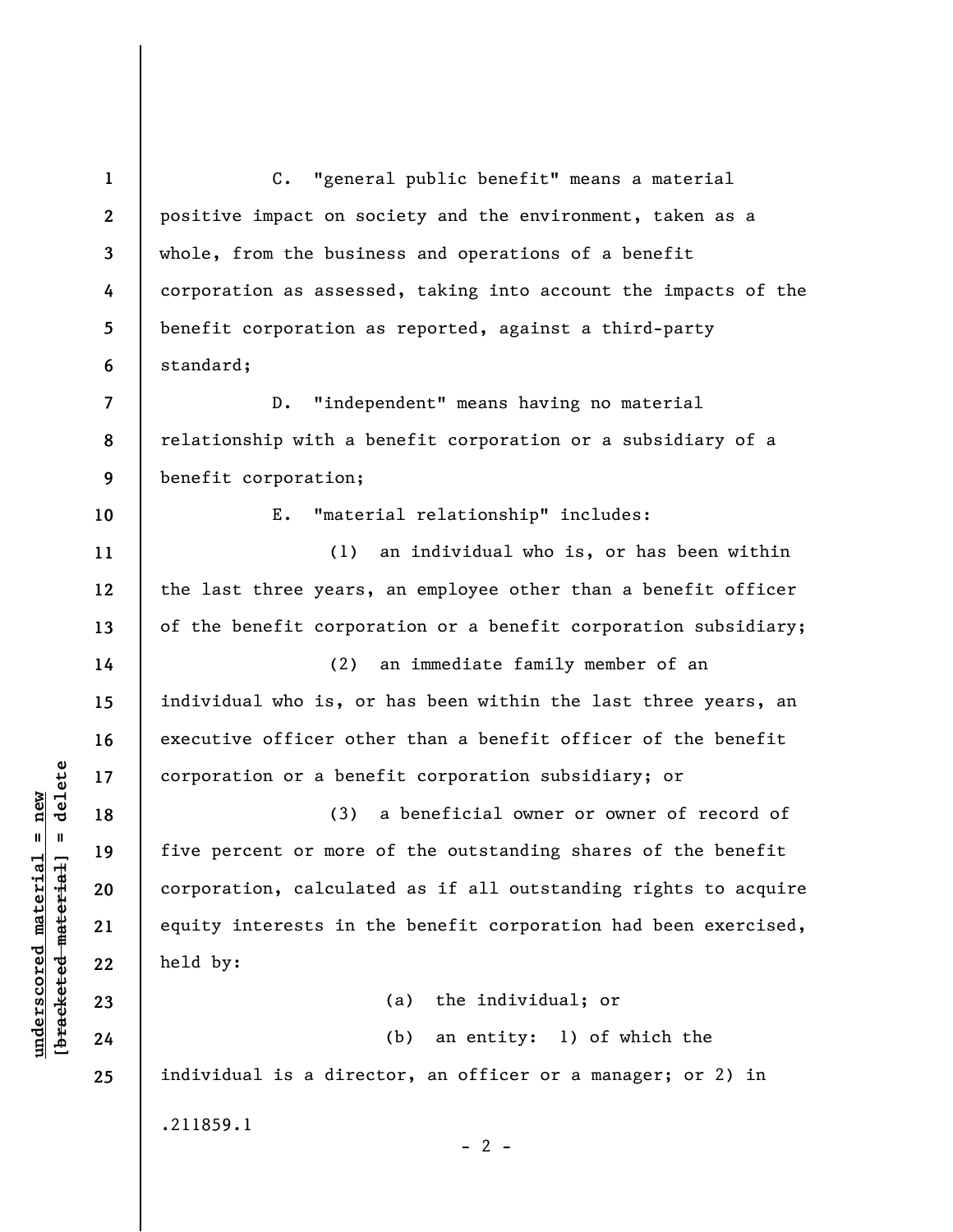**1 2 3 4 5 6 7 8 9 10 11 12 13 14 15 16 17 18 19 20 21 22 23 24 25**  C. "general public benefit" means a material positive impact on society and the environment, taken as a whole, from the business and operations of a benefit corporation as assessed, taking into account the impacts of the benefit corporation as reported, against a third-party standard; D. "independent" means having no material relationship with a benefit corporation or a subsidiary of a benefit corporation; E. "material relationship" includes: (1) an individual who is, or has been within the last three years, an employee other than a benefit officer of the benefit corporation or a benefit corporation subsidiary; (2) an immediate family member of an individual who is, or has been within the last three years, an executive officer other than a benefit officer of the benefit corporation or a benefit corporation subsidiary; or (3) a beneficial owner or owner of record of five percent or more of the outstanding shares of the benefit corporation, calculated as if all outstanding rights to acquire equity interests in the benefit corporation had been exercised, held by: (a) the individual; or (b) an entity: 1) of which the individual is a director, an officer or a manager; or 2) in .211859.1  $- 2 -$ 

**underscored material = new [bracketed material] = delete**

 $\frac{1}{2}$  of  $\frac{1}{2}$  and  $\frac{1}{2}$  and  $\frac{1}{2}$  and  $\frac{1}{2}$  and  $\frac{1}{2}$  and  $\frac{1}{2}$  and  $\frac{1}{2}$  and  $\frac{1}{2}$  and  $\frac{1}{2}$  and  $\frac{1}{2}$  and  $\frac{1}{2}$  and  $\frac{1}{2}$  and  $\frac{1}{2}$  and  $\frac{1}{2}$  and  $\frac{1}{2}$  an  $underscored material = new$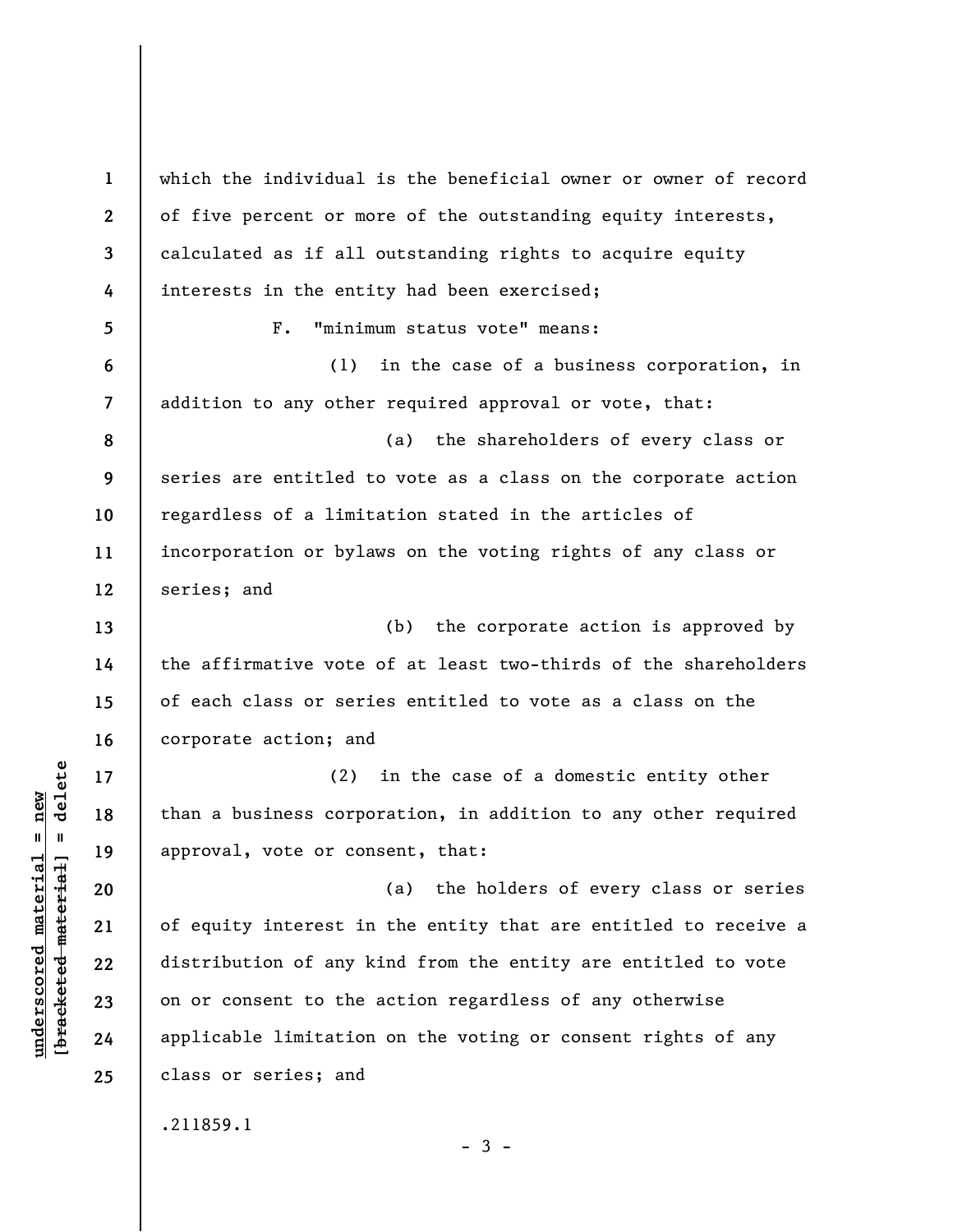**1 2 3 4 5 6 7 8 9 10 11 12 13 14 15 16 17 18 19 20 21 22 23 24 25**  which the individual is the beneficial owner or owner of record of five percent or more of the outstanding equity interests, calculated as if all outstanding rights to acquire equity interests in the entity had been exercised; F. "minimum status vote" means: (1) in the case of a business corporation, in addition to any other required approval or vote, that: (a) the shareholders of every class or series are entitled to vote as a class on the corporate action regardless of a limitation stated in the articles of incorporation or bylaws on the voting rights of any class or series; and (b) the corporate action is approved by the affirmative vote of at least two-thirds of the shareholders of each class or series entitled to vote as a class on the corporate action; and (2) in the case of a domestic entity other than a business corporation, in addition to any other required approval, vote or consent, that: (a) the holders of every class or series of equity interest in the entity that are entitled to receive a distribution of any kind from the entity are entitled to vote on or consent to the action regardless of any otherwise applicable limitation on the voting or consent rights of any class or series; and .211859.1

 $\frac{1}{2}$  of  $\frac{1}{2}$  and  $\frac{1}{2}$  and  $\frac{1}{2}$  and  $\frac{1}{2}$  and  $\frac{1}{2}$  and  $\frac{1}{2}$  and  $\frac{1}{2}$  and  $\frac{1}{2}$  and  $\frac{1}{2}$  and  $\frac{1}{2}$  and  $\frac{1}{2}$  and  $\frac{1}{2}$  and  $\frac{1}{2}$  and  $\frac{1}{2}$  and  $\frac{1}{2}$  an **[bracketed material] = delete**  $underscored material = new$ **underscored material = new**

 $-3 -$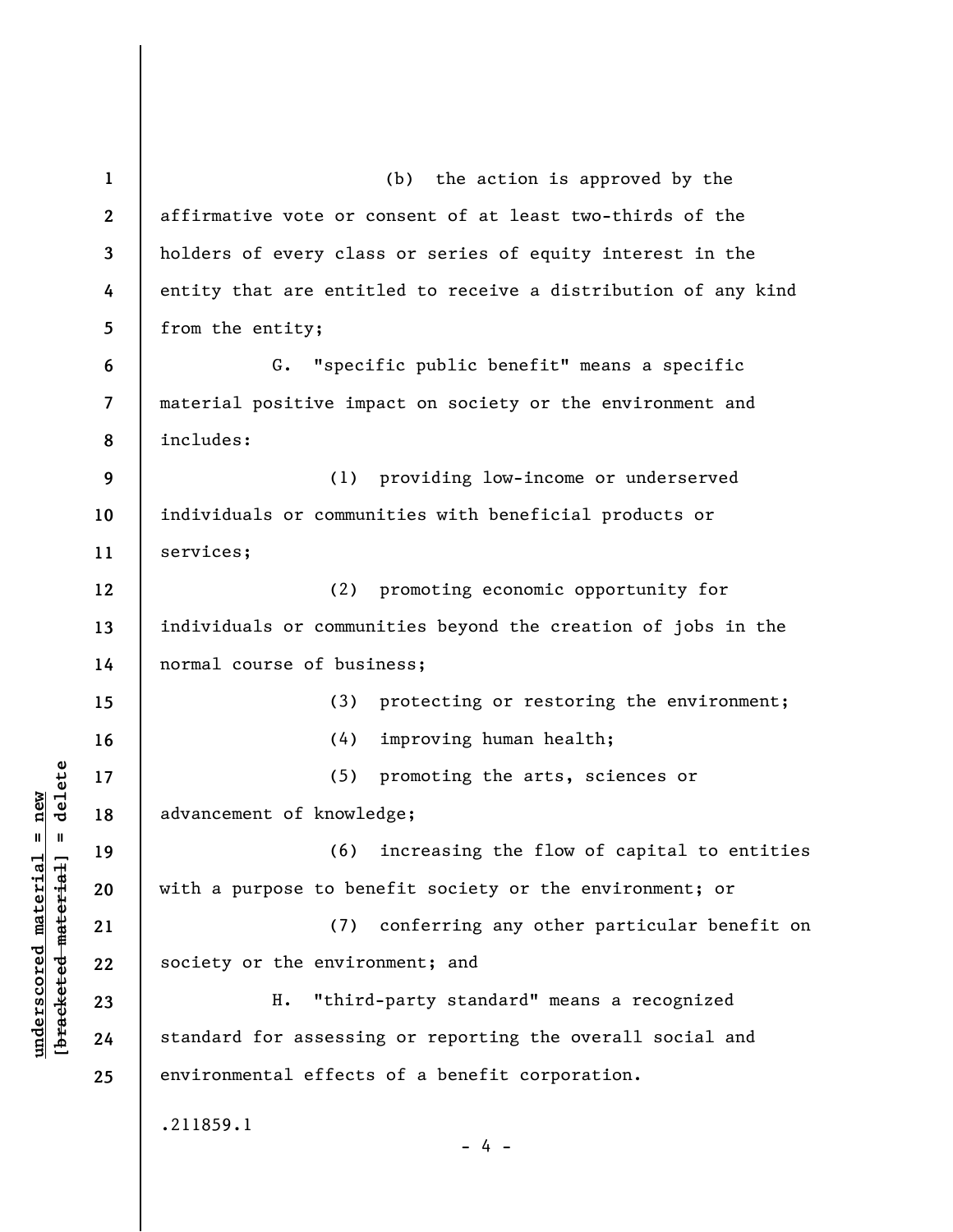**1 2 3 4 5 6 7 8 9 10 11 12 13 14 15 16 17 18 19 20 21 22 23 24 25**  (b) the action is approved by the affirmative vote or consent of at least two-thirds of the holders of every class or series of equity interest in the entity that are entitled to receive a distribution of any kind from the entity; G. "specific public benefit" means a specific material positive impact on society or the environment and includes: (1) providing low-income or underserved individuals or communities with beneficial products or services; (2) promoting economic opportunity for individuals or communities beyond the creation of jobs in the normal course of business; (3) protecting or restoring the environment; (4) improving human health; (5) promoting the arts, sciences or advancement of knowledge; (6) increasing the flow of capital to entities with a purpose to benefit society or the environment; or (7) conferring any other particular benefit on society or the environment; and H. "third-party standard" means a recognized standard for assessing or reporting the overall social and environmental effects of a benefit corporation. .211859.1  $- 4 -$ 

**underscored material = new [bracketed material] = delete**

 $\frac{1}{2}$  intereted material = delete  $underscored material = new$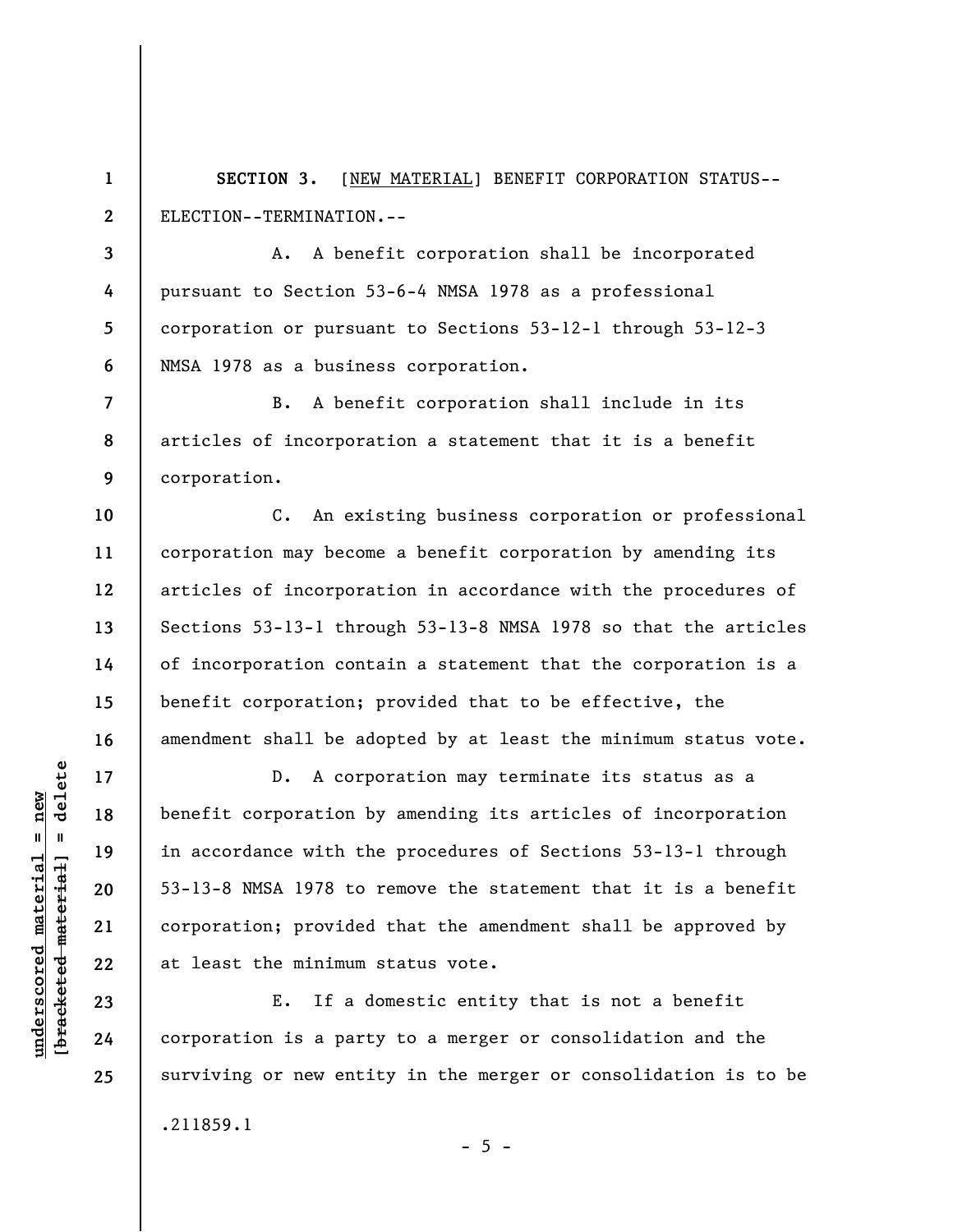**1 2 SECTION 3.** [NEW MATERIAL] BENEFIT CORPORATION STATUS-- ELECTION--TERMINATION.--

**3 4 5 6**  A. A benefit corporation shall be incorporated pursuant to Section 53-6-4 NMSA 1978 as a professional corporation or pursuant to Sections 53-12-1 through 53-12-3 NMSA 1978 as a business corporation.

**8 9**  B. A benefit corporation shall include in its articles of incorporation a statement that it is a benefit corporation.

C. An existing business corporation or professional corporation may become a benefit corporation by amending its articles of incorporation in accordance with the procedures of Sections 53-13-1 through 53-13-8 NMSA 1978 so that the articles of incorporation contain a statement that the corporation is a benefit corporation; provided that to be effective, the amendment shall be adopted by at least the minimum status vote.

D. A corporation may terminate its status as a benefit corporation by amending its articles of incorporation in accordance with the procedures of Sections 53-13-1 through 53-13-8 NMSA 1978 to remove the statement that it is a benefit corporation; provided that the amendment shall be approved by at least the minimum status vote.

E. If a domestic entity that is not a benefit corporation is a party to a merger or consolidation and the surviving or new entity in the merger or consolidation is to be .211859.1

 $\frac{1}{2}$  intereted material = delete **[bracketed material] = delete**  $underscored material = new$ **underscored material = new**

**7** 

**10** 

**11** 

**12** 

**13** 

**14** 

**15** 

**16** 

**17** 

**18** 

**19** 

**20** 

**21** 

**22** 

**23** 

**24** 

**25** 

 $- 5 -$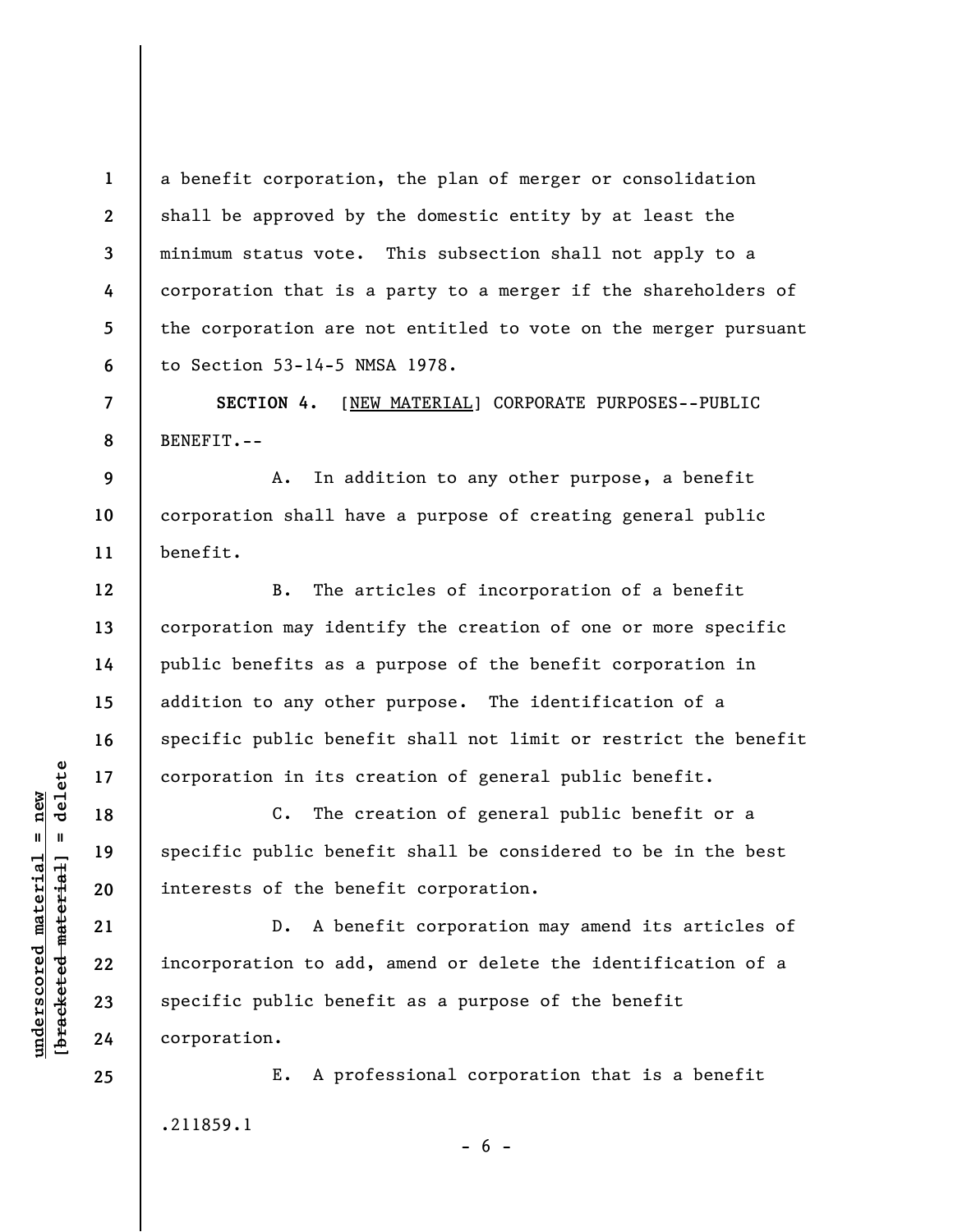**1 2 3 4 5 6**  a benefit corporation, the plan of merger or consolidation shall be approved by the domestic entity by at least the minimum status vote. This subsection shall not apply to a corporation that is a party to a merger if the shareholders of the corporation are not entitled to vote on the merger pursuant to Section 53-14-5 NMSA 1978.

**SECTION 4.** [NEW MATERIAL] CORPORATE PURPOSES--PUBLIC BENEFIT.--

**9 10 11**  A. In addition to any other purpose, a benefit corporation shall have a purpose of creating general public benefit.

B. The articles of incorporation of a benefit corporation may identify the creation of one or more specific public benefits as a purpose of the benefit corporation in addition to any other purpose. The identification of a specific public benefit shall not limit or restrict the benefit corporation in its creation of general public benefit.

C. The creation of general public benefit or a specific public benefit shall be considered to be in the best interests of the benefit corporation.

D. A benefit corporation may amend its articles of incorporation to add, amend or delete the identification of a specific public benefit as a purpose of the benefit corporation.

E. A professional corporation that is a benefit .211859.1

 $- 6 -$ 

**7** 

**8** 

**12** 

**13** 

**14** 

**15** 

**16** 

**17** 

**18** 

**19** 

**20** 

**21** 

**22** 

**23** 

**24**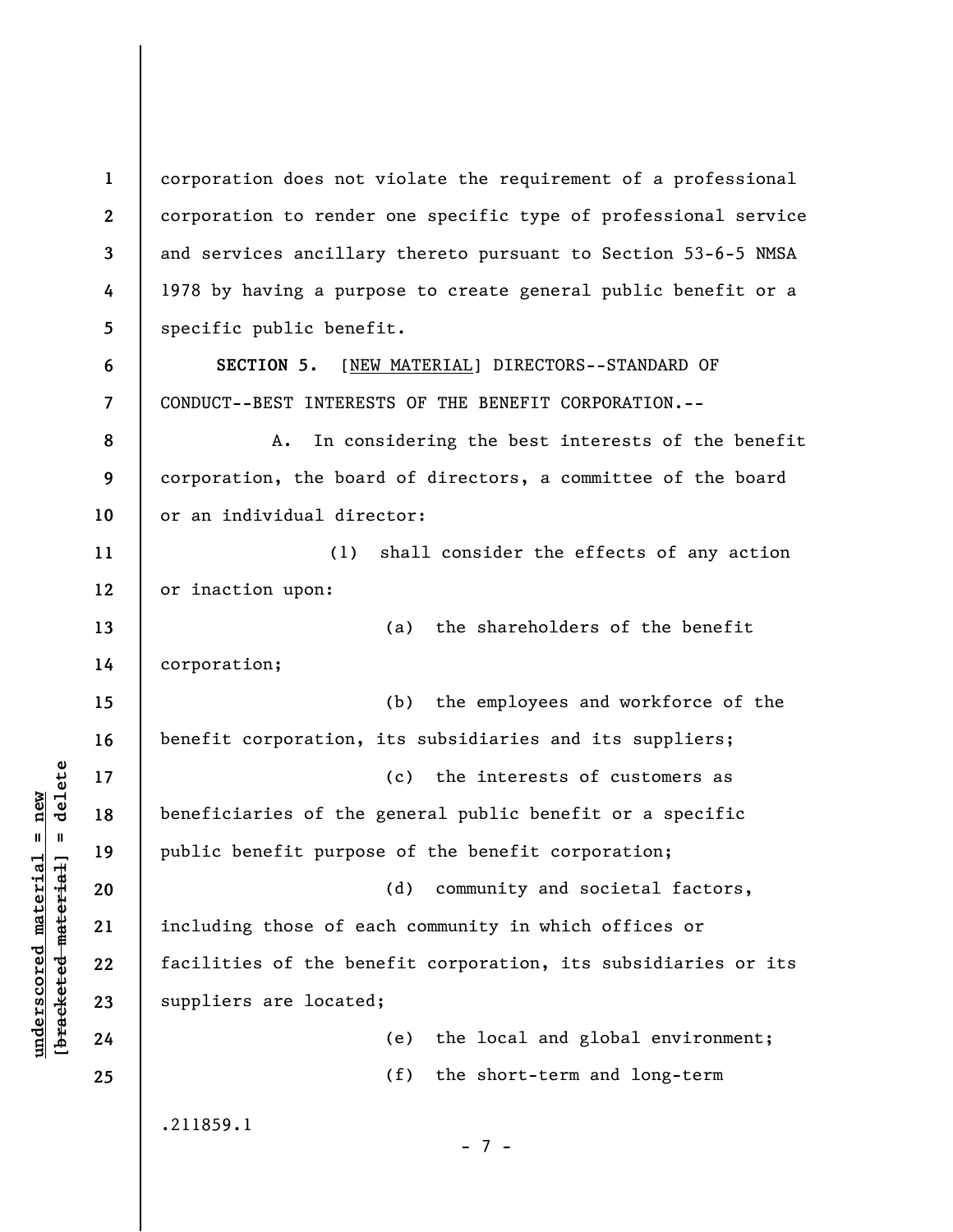**1 2 3 4 5 6 7 8 9 10 11 12 13 14 15 16 17 18 19 20 21 22 23 24 25**  corporation does not violate the requirement of a professional corporation to render one specific type of professional service and services ancillary thereto pursuant to Section 53-6-5 NMSA 1978 by having a purpose to create general public benefit or a specific public benefit. **SECTION 5.** [NEW MATERIAL] DIRECTORS--STANDARD OF CONDUCT--BEST INTERESTS OF THE BENEFIT CORPORATION.-- A. In considering the best interests of the benefit corporation, the board of directors, a committee of the board or an individual director: (1) shall consider the effects of any action or inaction upon: (a) the shareholders of the benefit corporation; (b) the employees and workforce of the benefit corporation, its subsidiaries and its suppliers; (c) the interests of customers as beneficiaries of the general public benefit or a specific public benefit purpose of the benefit corporation; (d) community and societal factors, including those of each community in which offices or facilities of the benefit corporation, its subsidiaries or its suppliers are located; (e) the local and global environment; (f) the short-term and long-term .211859.1 - 7 -

 $\frac{1}{2}$  intereted material = delete **[bracketed material] = delete**  $underscored material = new$ **underscored material = new**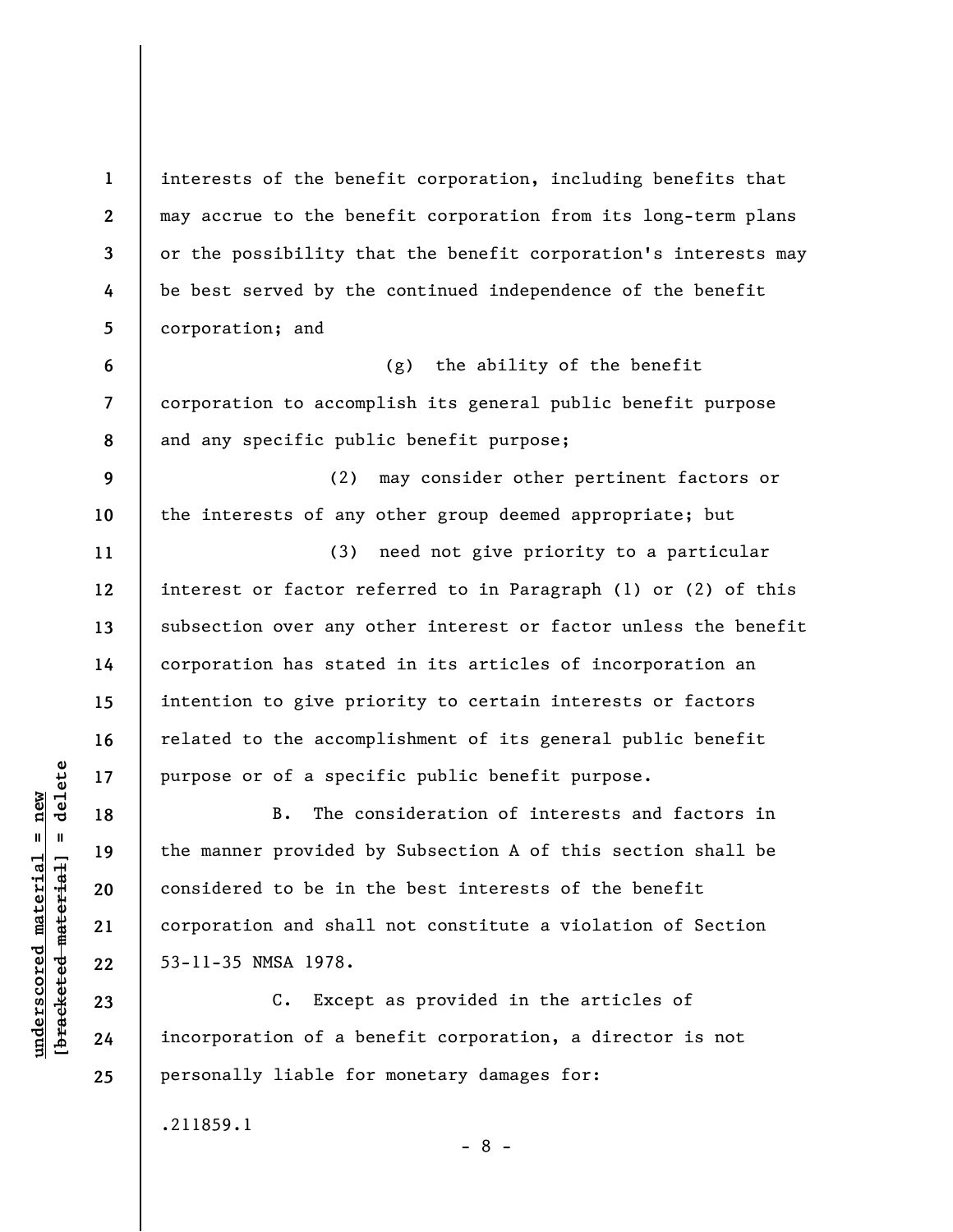**1 2 3 4 5 6 7 8 9 10 11 12 13 14 15 16 17 18 19 20 21 22 23 24 25**  interests of the benefit corporation, including benefits that may accrue to the benefit corporation from its long-term plans or the possibility that the benefit corporation's interests may be best served by the continued independence of the benefit corporation; and (g) the ability of the benefit corporation to accomplish its general public benefit purpose and any specific public benefit purpose; (2) may consider other pertinent factors or the interests of any other group deemed appropriate; but (3) need not give priority to a particular interest or factor referred to in Paragraph (1) or (2) of this subsection over any other interest or factor unless the benefit corporation has stated in its articles of incorporation an intention to give priority to certain interests or factors related to the accomplishment of its general public benefit purpose or of a specific public benefit purpose. B. The consideration of interests and factors in the manner provided by Subsection A of this section shall be considered to be in the best interests of the benefit corporation and shall not constitute a violation of Section 53-11-35 NMSA 1978. C. Except as provided in the articles of incorporation of a benefit corporation, a director is not personally liable for monetary damages for:

.211859.1

 $b$ racketed material] = delete **[bracketed material] = delete**  $underscored material = new$ **underscored material = new**

- 8 -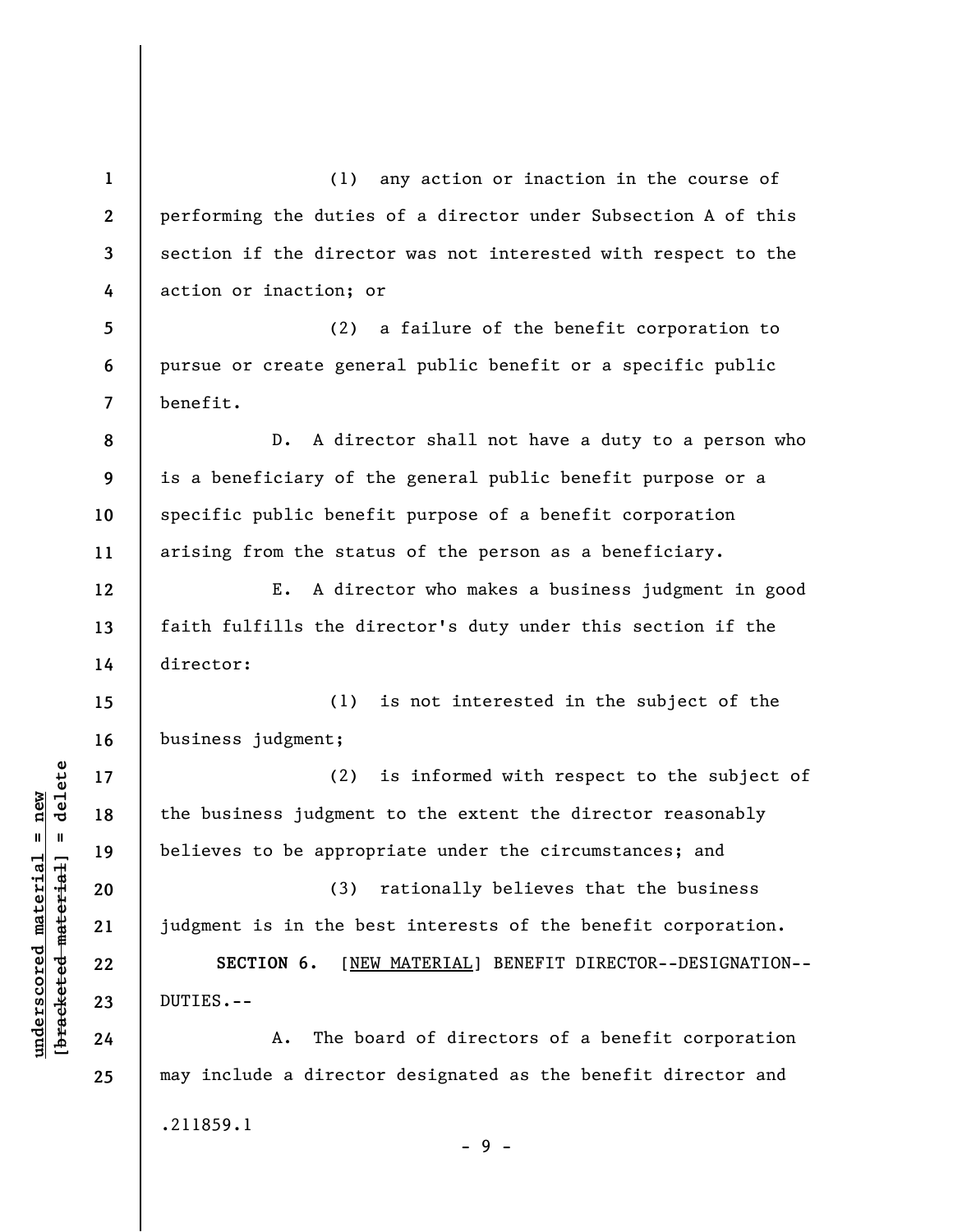**1 2 3 4 5 6 7 8 9 10 11 12 13 14 15 16 17 18 19 20 21 22 23 24 25**  (1) any action or inaction in the course of performing the duties of a director under Subsection A of this section if the director was not interested with respect to the action or inaction; or (2) a failure of the benefit corporation to pursue or create general public benefit or a specific public benefit. D. A director shall not have a duty to a person who is a beneficiary of the general public benefit purpose or a specific public benefit purpose of a benefit corporation arising from the status of the person as a beneficiary. E. A director who makes a business judgment in good faith fulfills the director's duty under this section if the director: (1) is not interested in the subject of the business judgment; (2) is informed with respect to the subject of the business judgment to the extent the director reasonably believes to be appropriate under the circumstances; and (3) rationally believes that the business judgment is in the best interests of the benefit corporation. **SECTION 6.** [NEW MATERIAL] BENEFIT DIRECTOR--DESIGNATION-- DUTIES.-- A. The board of directors of a benefit corporation may include a director designated as the benefit director and .211859.1 - 9 -

**underscored material = new [bracketed material] = delete**

 $\frac{1}{2}$  intereted material = delete  $underscored material = new$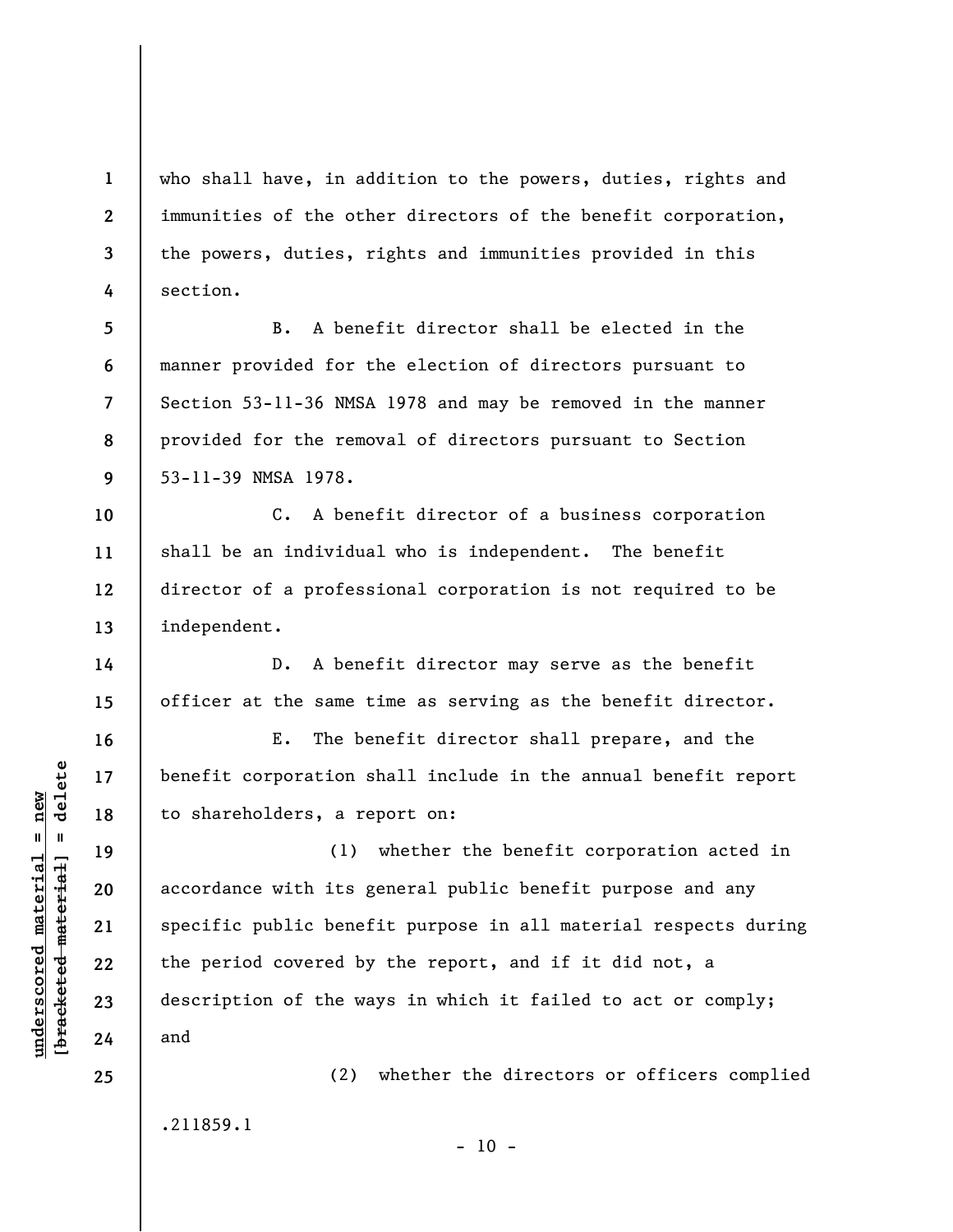**1 2 3 4**  who shall have, in addition to the powers, duties, rights and immunities of the other directors of the benefit corporation, the powers, duties, rights and immunities provided in this section.

**5 6 7 8 9**  B. A benefit director shall be elected in the manner provided for the election of directors pursuant to Section 53-11-36 NMSA 1978 and may be removed in the manner provided for the removal of directors pursuant to Section 53-11-39 NMSA 1978.

**10 11 12 13**  C. A benefit director of a business corporation shall be an individual who is independent. The benefit director of a professional corporation is not required to be independent.

D. A benefit director may serve as the benefit officer at the same time as serving as the benefit director.

E. The benefit director shall prepare, and the benefit corporation shall include in the annual benefit report to shareholders, a report on:

(1) whether the benefit corporation acted in accordance with its general public benefit purpose and any specific public benefit purpose in all material respects during the period covered by the report, and if it did not, a description of the ways in which it failed to act or comply; and

(2) whether the directors or officers complied .211859.1

 $-10 -$ 

 $\frac{1}{2}$  intereted material = delete **[bracketed material] = delete**  $underscored material = new$ **underscored material = new**

**14** 

**15** 

**16** 

**17** 

**18** 

**19** 

**20** 

**21** 

**22** 

**23** 

**24**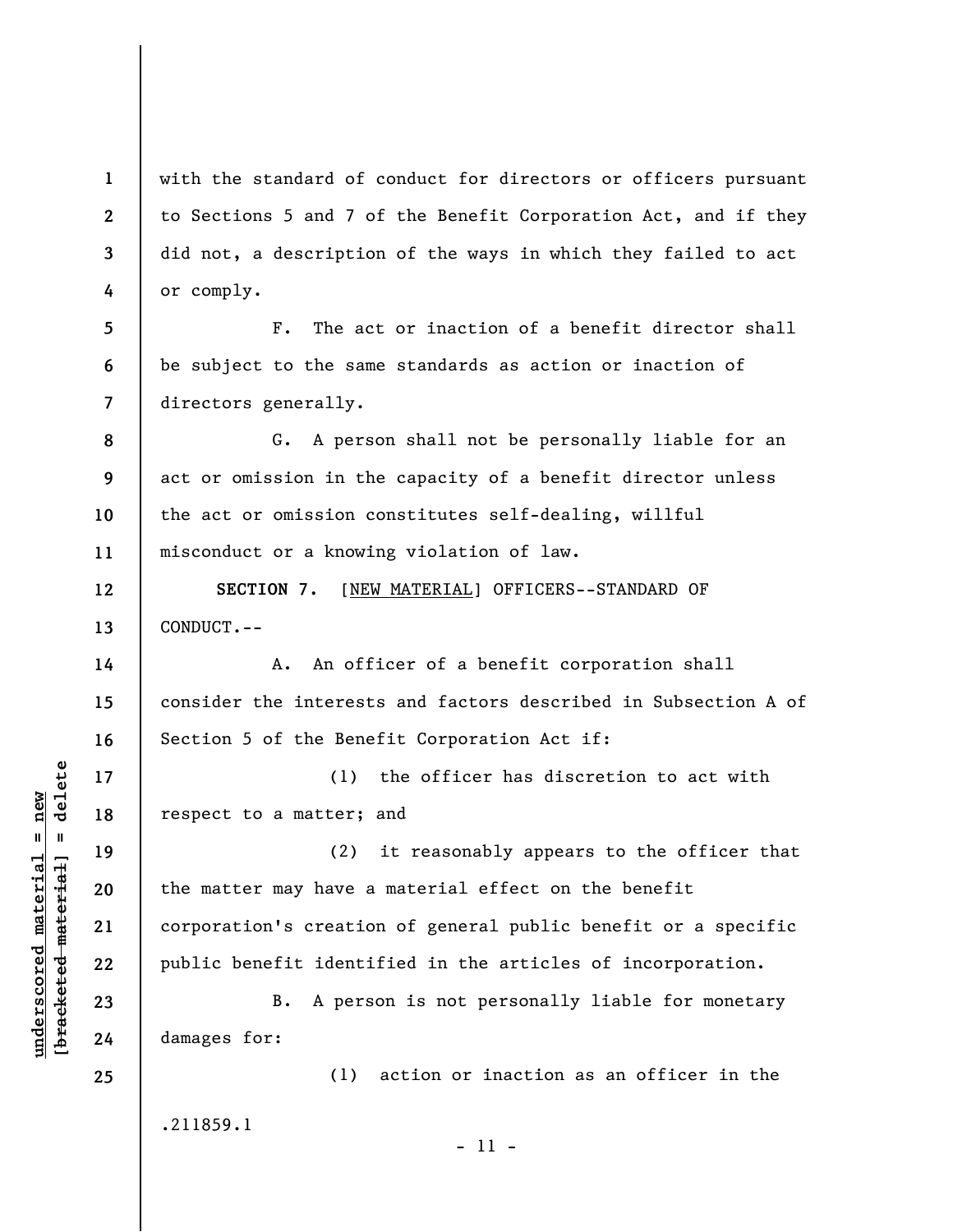**1 2 3 4**  with the standard of conduct for directors or officers pursuant to Sections 5 and 7 of the Benefit Corporation Act, and if they did not, a description of the ways in which they failed to act or comply.

**5 6 7**  F. The act or inaction of a benefit director shall be subject to the same standards as action or inaction of directors generally.

**8 9 10 11**  G. A person shall not be personally liable for an act or omission in the capacity of a benefit director unless the act or omission constitutes self-dealing, willful misconduct or a knowing violation of law.

SECTION 7. [NEW MATERIAL] OFFICERS--STANDARD OF CONDUCT.--

A. An officer of a benefit corporation shall consider the interests and factors described in Subsection A of Section 5 of the Benefit Corporation Act if:

(1) the officer has discretion to act with respect to a matter; and

(2) it reasonably appears to the officer that the matter may have a material effect on the benefit corporation's creation of general public benefit or a specific public benefit identified in the articles of incorporation.

B. A person is not personally liable for monetary damages for:

(1) action or inaction as an officer in the .211859.1

 $\frac{1}{2}$  intereted material = delete **[bracketed material] = delete**  $underscored material = new$ **underscored material = new**

**12** 

**13** 

**14** 

**15** 

**16** 

**17** 

**18** 

**19** 

**20** 

**21** 

**22** 

**23** 

**24** 

**25** 

- 11 -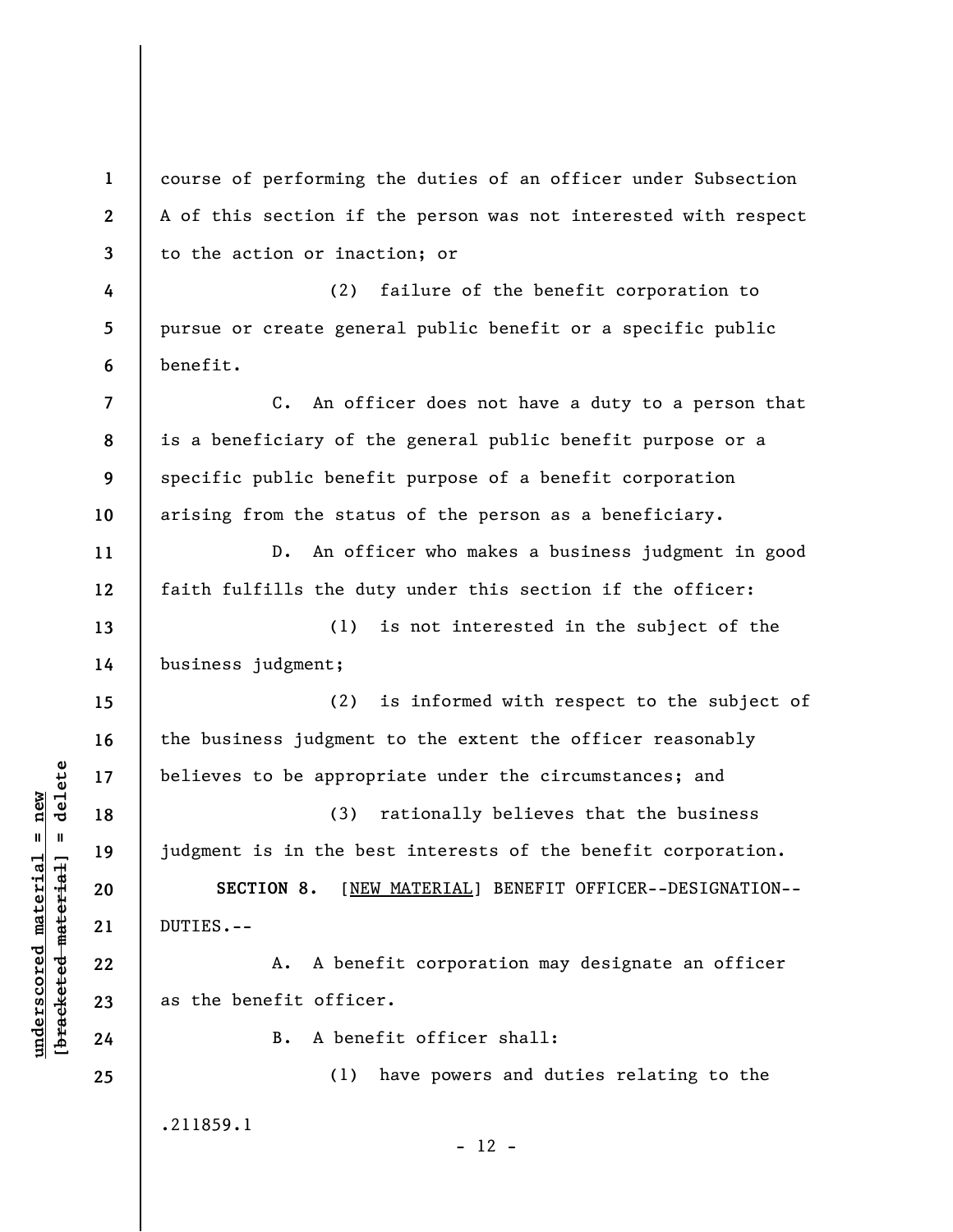**1 2 3 4 5 6 7 8 9 10 11 12 13 14 15 16 17 18 19 20 21 22 23 24 25**  course of performing the duties of an officer under Subsection A of this section if the person was not interested with respect to the action or inaction; or (2) failure of the benefit corporation to pursue or create general public benefit or a specific public benefit. C. An officer does not have a duty to a person that is a beneficiary of the general public benefit purpose or a specific public benefit purpose of a benefit corporation arising from the status of the person as a beneficiary. D. An officer who makes a business judgment in good faith fulfills the duty under this section if the officer: (1) is not interested in the subject of the business judgment; (2) is informed with respect to the subject of the business judgment to the extent the officer reasonably believes to be appropriate under the circumstances; and (3) rationally believes that the business judgment is in the best interests of the benefit corporation. **SECTION 8.** [NEW MATERIAL] BENEFIT OFFICER--DESIGNATION-- DUTIES.-- A. A benefit corporation may designate an officer as the benefit officer. B. A benefit officer shall: (1) have powers and duties relating to the .211859.1

 $b$ racketed material] = delete **[bracketed material] = delete**  $underscored material = new$ **underscored material = new**

 $- 12 -$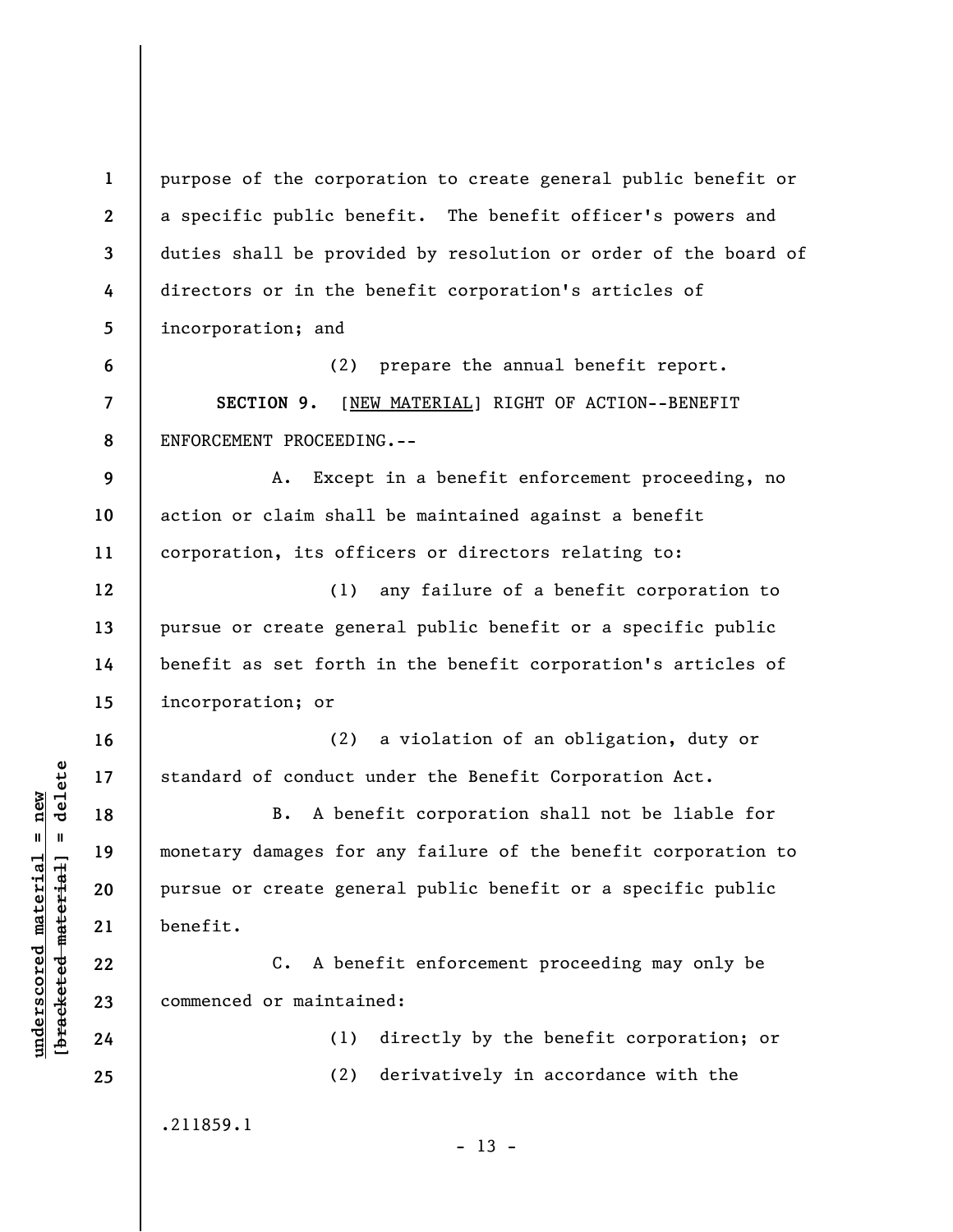**1 2 3 4 5 6 7 8 9 10 11 12 13 14 15 16 17 18 19 20 21 22 23 24 25**  purpose of the corporation to create general public benefit or a specific public benefit. The benefit officer's powers and duties shall be provided by resolution or order of the board of directors or in the benefit corporation's articles of incorporation; and (2) prepare the annual benefit report. **SECTION 9.** [NEW MATERIAL] RIGHT OF ACTION--BENEFIT ENFORCEMENT PROCEEDING.-- A. Except in a benefit enforcement proceeding, no action or claim shall be maintained against a benefit corporation, its officers or directors relating to: (1) any failure of a benefit corporation to pursue or create general public benefit or a specific public benefit as set forth in the benefit corporation's articles of incorporation; or (2) a violation of an obligation, duty or standard of conduct under the Benefit Corporation Act. B. A benefit corporation shall not be liable for monetary damages for any failure of the benefit corporation to pursue or create general public benefit or a specific public benefit. C. A benefit enforcement proceeding may only be commenced or maintained: (1) directly by the benefit corporation; or (2) derivatively in accordance with the .211859.1  $- 13 -$ 

**underscored material = new [bracketed material] = delete**

 $\frac{1}{2}$  intereted material = delete  $underscored material = new$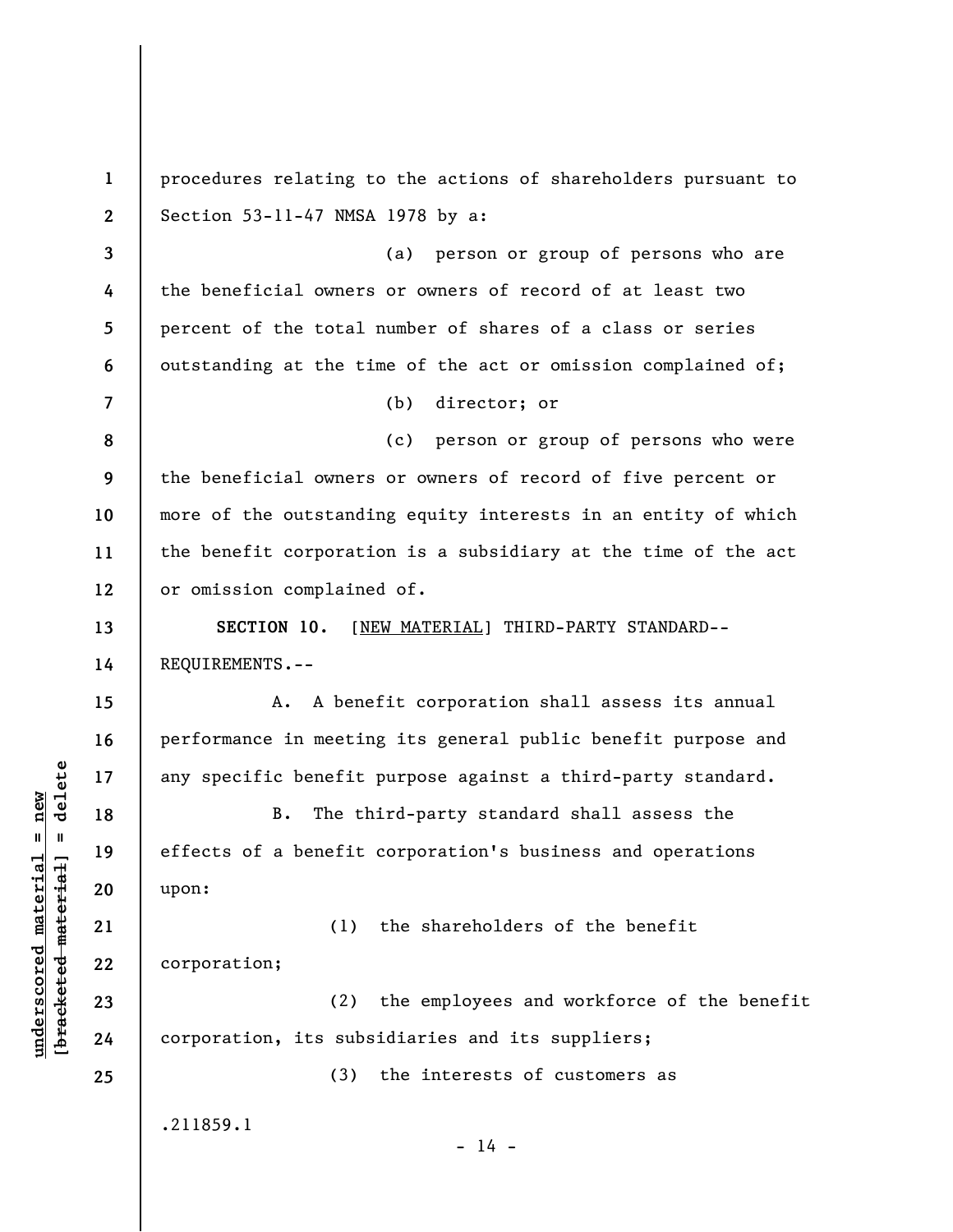**1 2 3 4 5 6 7 8 9 10 11 12 13 14 15 16 17 18 19 20 21 22 23 24 25**  procedures relating to the actions of shareholders pursuant to Section 53-11-47 NMSA 1978 by a: (a) person or group of persons who are the beneficial owners or owners of record of at least two percent of the total number of shares of a class or series outstanding at the time of the act or omission complained of; (b) director; or (c) person or group of persons who were the beneficial owners or owners of record of five percent or more of the outstanding equity interests in an entity of which the benefit corporation is a subsidiary at the time of the act or omission complained of. **SECTION 10.** [NEW MATERIAL] THIRD-PARTY STANDARD-- REQUIREMENTS.-- A. A benefit corporation shall assess its annual performance in meeting its general public benefit purpose and any specific benefit purpose against a third-party standard. B. The third-party standard shall assess the effects of a benefit corporation's business and operations upon: (1) the shareholders of the benefit corporation; (2) the employees and workforce of the benefit corporation, its subsidiaries and its suppliers; (3) the interests of customers as .211859.1

 $- 14 -$ 

**underscored material = new [bracketed material] = delete**

 $b$ racketed material] = delete  $underscored material = new$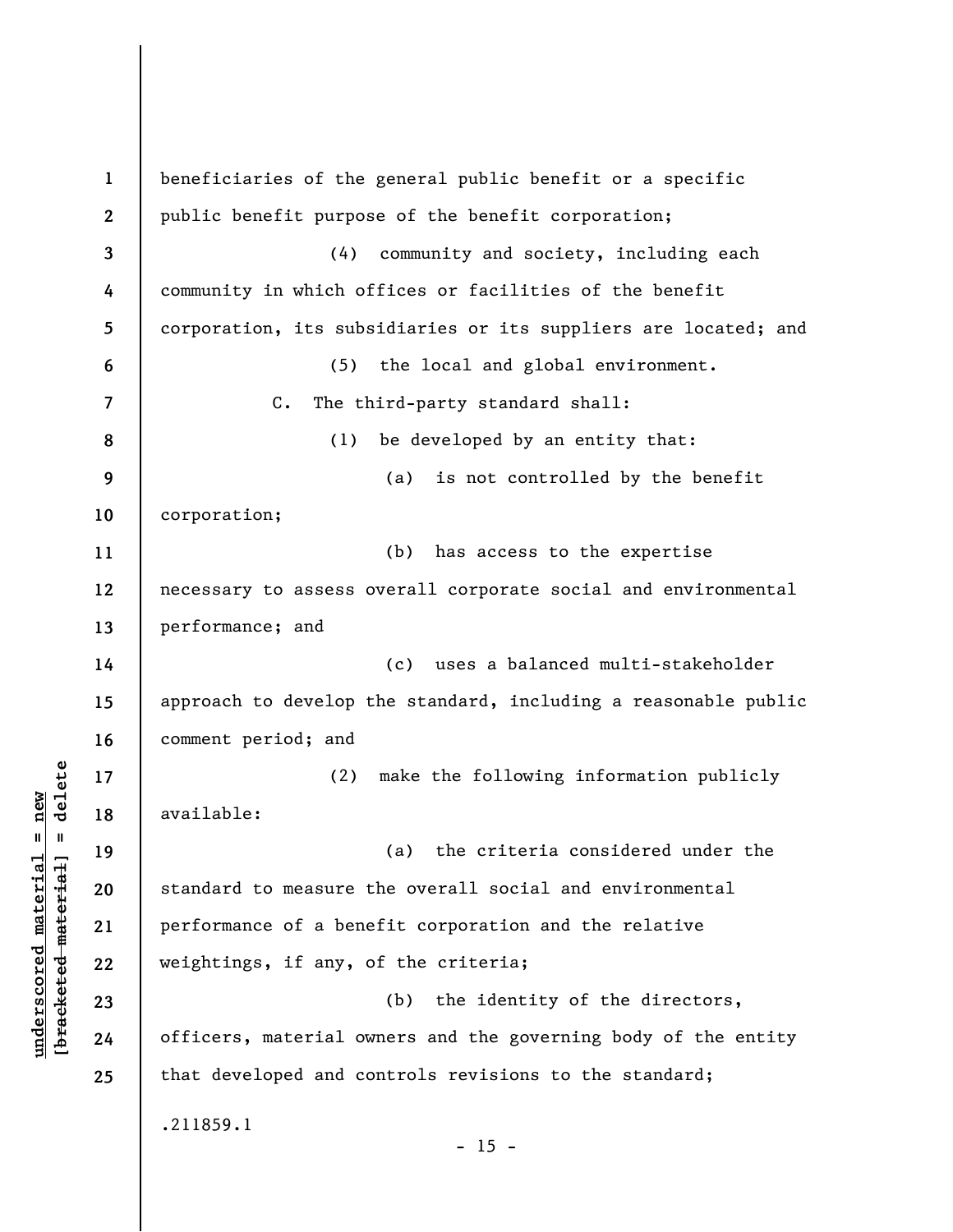| $\mathbf{1}$             | beneficiaries of the general public benefit or a specific       |
|--------------------------|-----------------------------------------------------------------|
| $\mathbf{2}$             | public benefit purpose of the benefit corporation;              |
| 3                        | (4)<br>community and society, including each                    |
| 4                        | community in which offices or facilities of the benefit         |
| 5                        | corporation, its subsidiaries or its suppliers are located; and |
| 6                        | (5) the local and global environment.                           |
| $\overline{\mathcal{L}}$ | The third-party standard shall:<br>$C$ .                        |
| 8                        | be developed by an entity that:<br>(1)                          |
| 9                        | is not controlled by the benefit<br>(a)                         |
| 10                       | corporation;                                                    |
| 11                       | (b)<br>has access to the expertise                              |
| 12                       | necessary to assess overall corporate social and environmental  |
| 13                       | performance; and                                                |
| 14                       | uses a balanced multi-stakeholder<br>(c)                        |
| 15                       | approach to develop the standard, including a reasonable public |
| 16                       | comment period; and                                             |
| 17                       | make the following information publicly<br>(2)                  |
| 18                       | available:                                                      |
| 19                       | (a) the criteria considered under the                           |
| 20                       | standard to measure the overall social and environmental        |
| 21                       | performance of a benefit corporation and the relative           |
| 22                       | weightings, if any, of the criteria;                            |
| 23                       | (b) the identity of the directors,                              |
| 24                       | officers, material owners and the governing body of the entity  |
| 25                       | that developed and controls revisions to the standard;          |
|                          | .211859.1                                                       |
|                          | $-15 -$                                                         |

**underscored material = new [bracketed material] = delete**

 $[**bracket eted metert et**] = **del et e**$  $underscored material = new$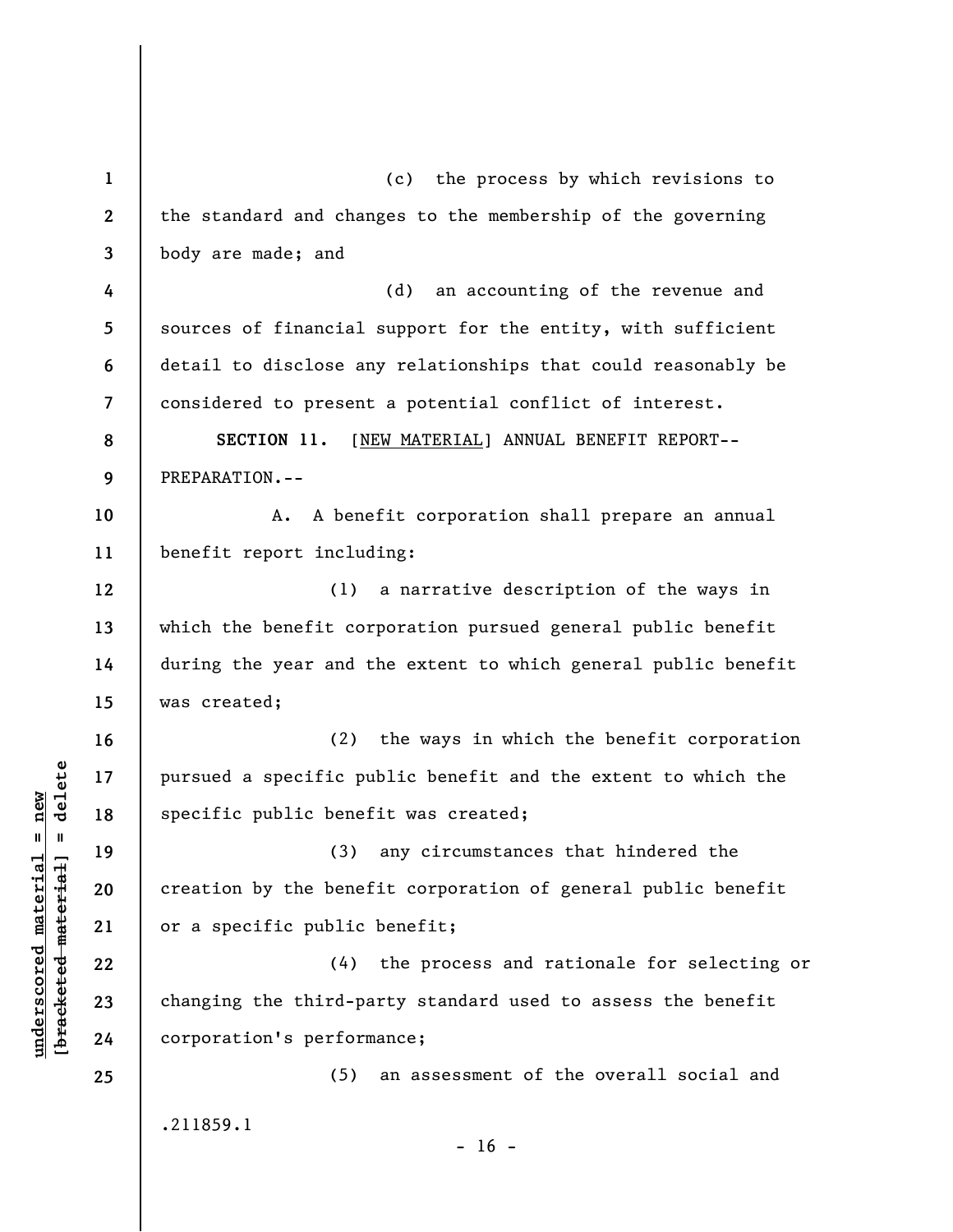**1 2 3 4 5 6 7 8 9 10 11 12 13 14 15 16 17 18 19 20 21 22 23 24 25**  (c) the process by which revisions to the standard and changes to the membership of the governing body are made; and (d) an accounting of the revenue and sources of financial support for the entity, with sufficient detail to disclose any relationships that could reasonably be considered to present a potential conflict of interest. **SECTION 11.** [NEW MATERIAL] ANNUAL BENEFIT REPORT-- PREPARATION.-- A. A benefit corporation shall prepare an annual benefit report including: (1) a narrative description of the ways in which the benefit corporation pursued general public benefit during the year and the extent to which general public benefit was created; (2) the ways in which the benefit corporation pursued a specific public benefit and the extent to which the specific public benefit was created; (3) any circumstances that hindered the creation by the benefit corporation of general public benefit or a specific public benefit; (4) the process and rationale for selecting or changing the third-party standard used to assess the benefit corporation's performance; (5) an assessment of the overall social and .211859.1  $- 16 -$ 

**underscored material = new [bracketed material] = delete**

 $\frac{1}{2}$  intereted material = delete  $underscored material = new$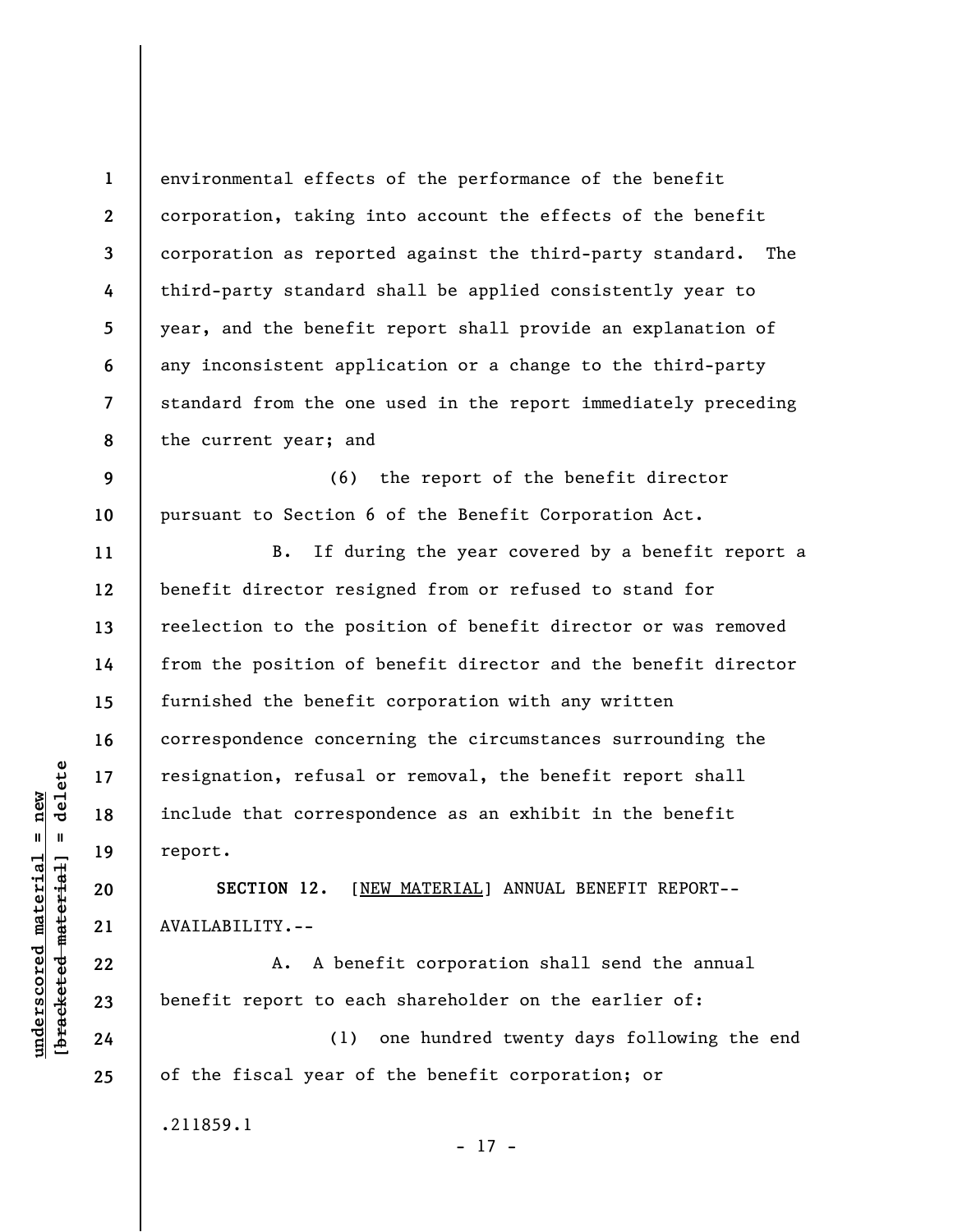| $\mathbf{1}$   | environmental effects of the performance of the benefit          |
|----------------|------------------------------------------------------------------|
| $\mathbf{2}$   | corporation, taking into account the effects of the benefit      |
| 3              | corporation as reported against the third-party standard.<br>The |
| 4              | third-party standard shall be applied consistently year to       |
| 5              | year, and the benefit report shall provide an explanation of     |
| 6              | any inconsistent application or a change to the third-party      |
| $\overline{7}$ | standard from the one used in the report immediately preceding   |
| 8              | the current year; and                                            |
| 9              | (6) the report of the benefit director                           |
| 10             | pursuant to Section 6 of the Benefit Corporation Act.            |
| 11             | If during the year covered by a benefit report a<br>В.           |
| 12             | benefit director resigned from or refused to stand for           |
| 13             | reelection to the position of benefit director or was removed    |
| 14             | from the position of benefit director and the benefit director   |
| 15             | furnished the benefit corporation with any written               |
| 16             | correspondence concerning the circumstances surrounding the      |
| 17             | resignation, refusal or removal, the benefit report shall        |
| 18             | include that correspondence as an exhibit in the benefit         |
| 19             | report.                                                          |
| 20             | SECTION 12.<br>[NEW MATERIAL] ANNUAL BENEFIT REPORT--            |
| 21             | AVAILABILITY.--                                                  |
| 22             | A. A benefit corporation shall send the annual                   |
| 23             | benefit report to each shareholder on the earlier of:            |
| 24             | (1) one hundred twenty days following the end                    |
| 25             | of the fiscal year of the benefit corporation; or                |
|                |                                                                  |

- 17 -

.211859.1

 $[**bracket**et~~eted matcherial~~] = **delete**$ **[bracketed material] = delete**  $underscored material = new$ **underscored material = new**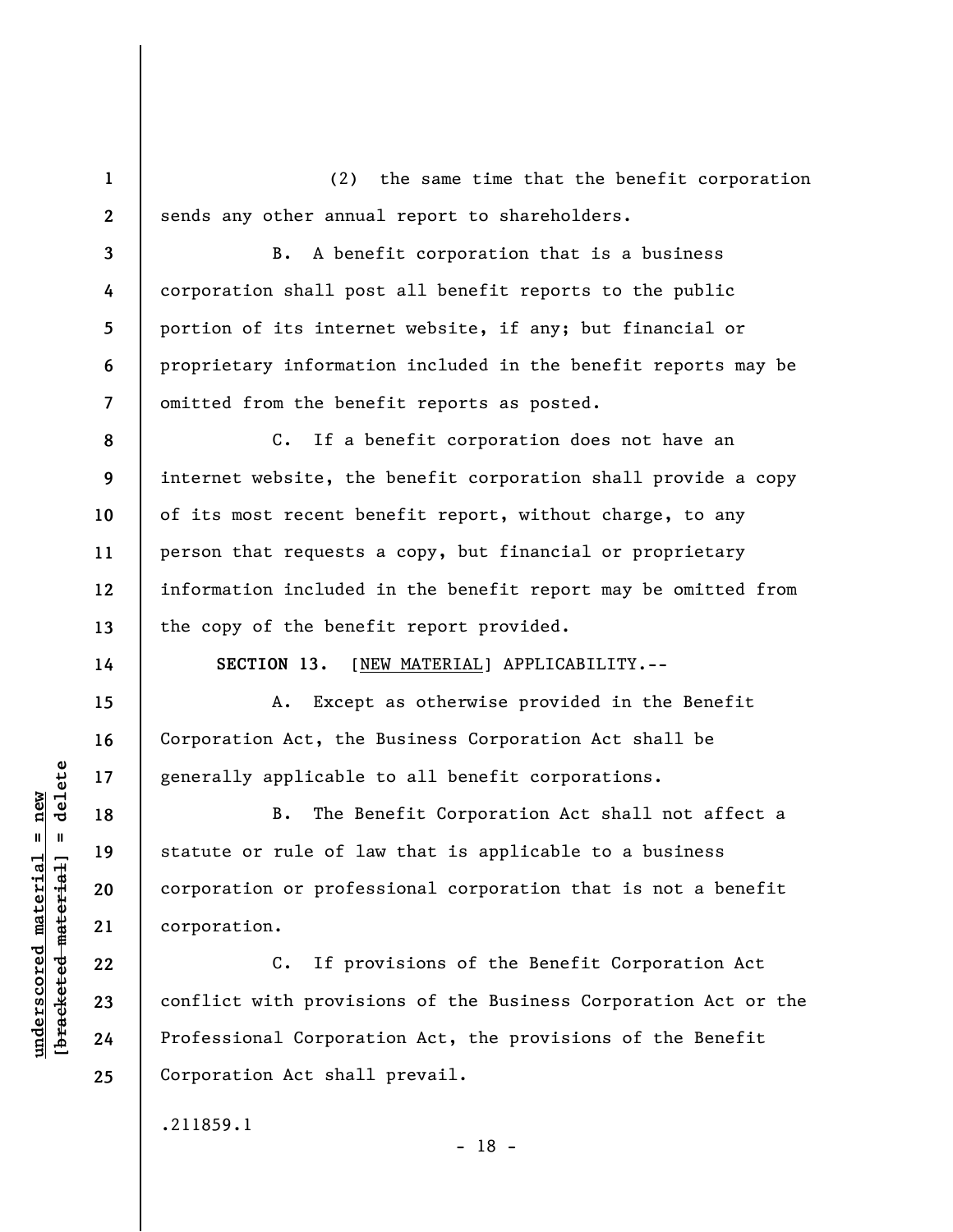(2) the same time that the benefit corporation sends any other annual report to shareholders.

B. A benefit corporation that is a business corporation shall post all benefit reports to the public portion of its internet website, if any; but financial or proprietary information included in the benefit reports may be omitted from the benefit reports as posted.

C. If a benefit corporation does not have an internet website, the benefit corporation shall provide a copy of its most recent benefit report, without charge, to any person that requests a copy, but financial or proprietary information included in the benefit report may be omitted from the copy of the benefit report provided.

**SECTION 13.** [NEW MATERIAL] APPLICABILITY.--

A. Except as otherwise provided in the Benefit Corporation Act, the Business Corporation Act shall be generally applicable to all benefit corporations.

B. The Benefit Corporation Act shall not affect a statute or rule of law that is applicable to a business corporation or professional corporation that is not a benefit corporation.

C. If provisions of the Benefit Corporation Act conflict with provisions of the Business Corporation Act or the Professional Corporation Act, the provisions of the Benefit Corporation Act shall prevail.

- 18 -

.211859.1

 $b$ racketed material] = delete **[bracketed material] = delete**  $underscored material = new$ **underscored material = new**

**1** 

**2** 

**3** 

**4** 

**5** 

**6** 

**7** 

**8** 

**9** 

**10** 

**11** 

**12** 

**13** 

**14** 

**15** 

**16** 

**17** 

**18** 

**19** 

**20** 

**21** 

**22** 

**23** 

**24**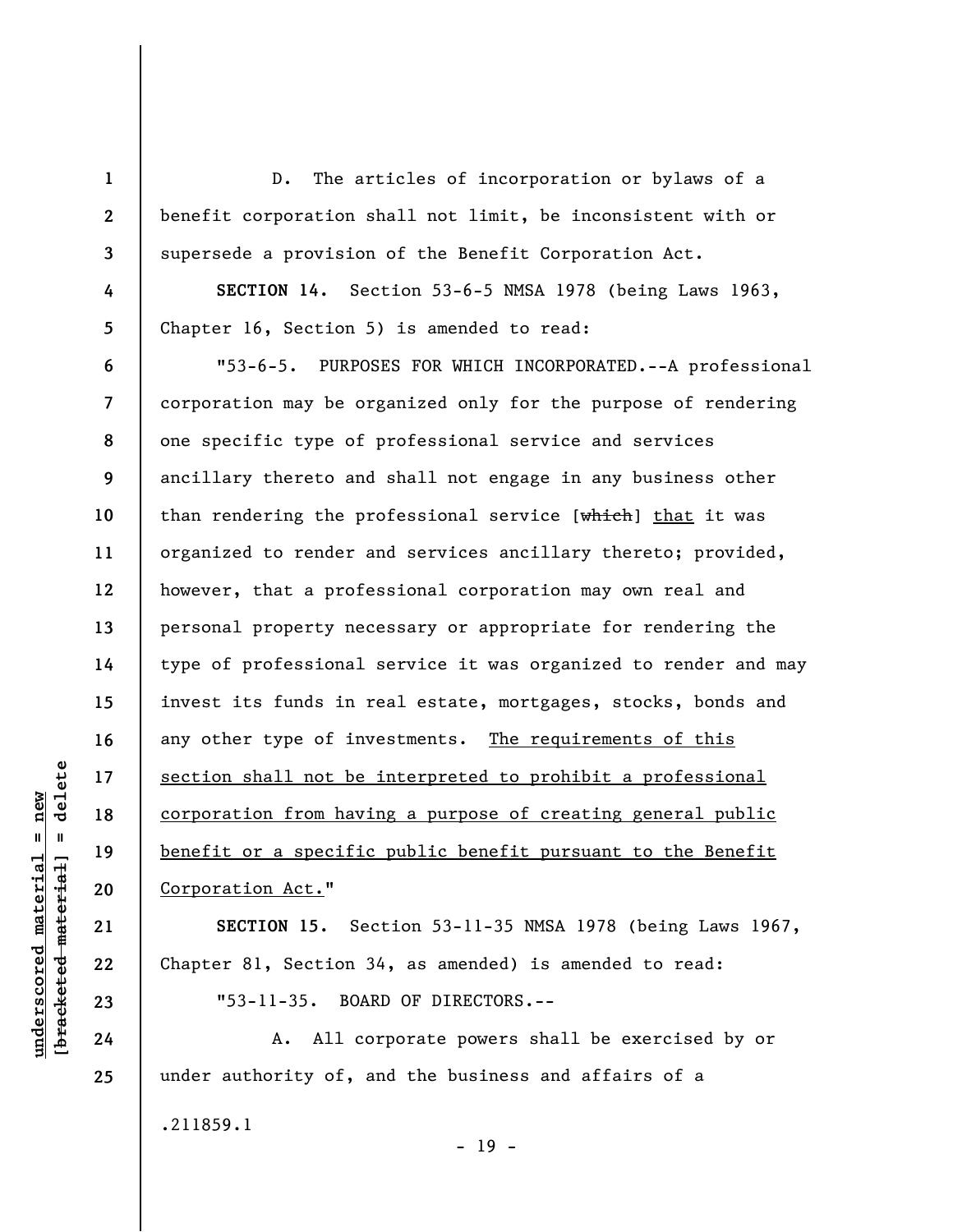D. The articles of incorporation or bylaws of a benefit corporation shall not limit, be inconsistent with or supersede a provision of the Benefit Corporation Act.

**SECTION 14.** Section 53-6-5 NMSA 1978 (being Laws 1963, Chapter 16, Section 5) is amended to read:

**6 7 8 9 10 11 12 13 14 15 16 17 18 19 20**  "53-6-5. PURPOSES FOR WHICH INCORPORATED.--A professional corporation may be organized only for the purpose of rendering one specific type of professional service and services ancillary thereto and shall not engage in any business other than rendering the professional service [which] that it was organized to render and services ancillary thereto; provided, however, that a professional corporation may own real and personal property necessary or appropriate for rendering the type of professional service it was organized to render and may invest its funds in real estate, mortgages, stocks, bonds and any other type of investments. The requirements of this section shall not be interpreted to prohibit a professional corporation from having a purpose of creating general public benefit or a specific public benefit pursuant to the Benefit Corporation Act."

**SECTION 15.** Section 53-11-35 NMSA 1978 (being Laws 1967, Chapter 81, Section 34, as amended) is amended to read: "53-11-35. BOARD OF DIRECTORS.--

A. All corporate powers shall be exercised by or under authority of, and the business and affairs of a

.211859.1

 $- 19 -$ 

delete **[bracketed material] = delete**  $underscored material = new$ **underscored material = new**  $\mathbf{I}$ bracketed material

**21** 

**22** 

**23** 

**24** 

**25** 

**1** 

**2** 

**3** 

**4**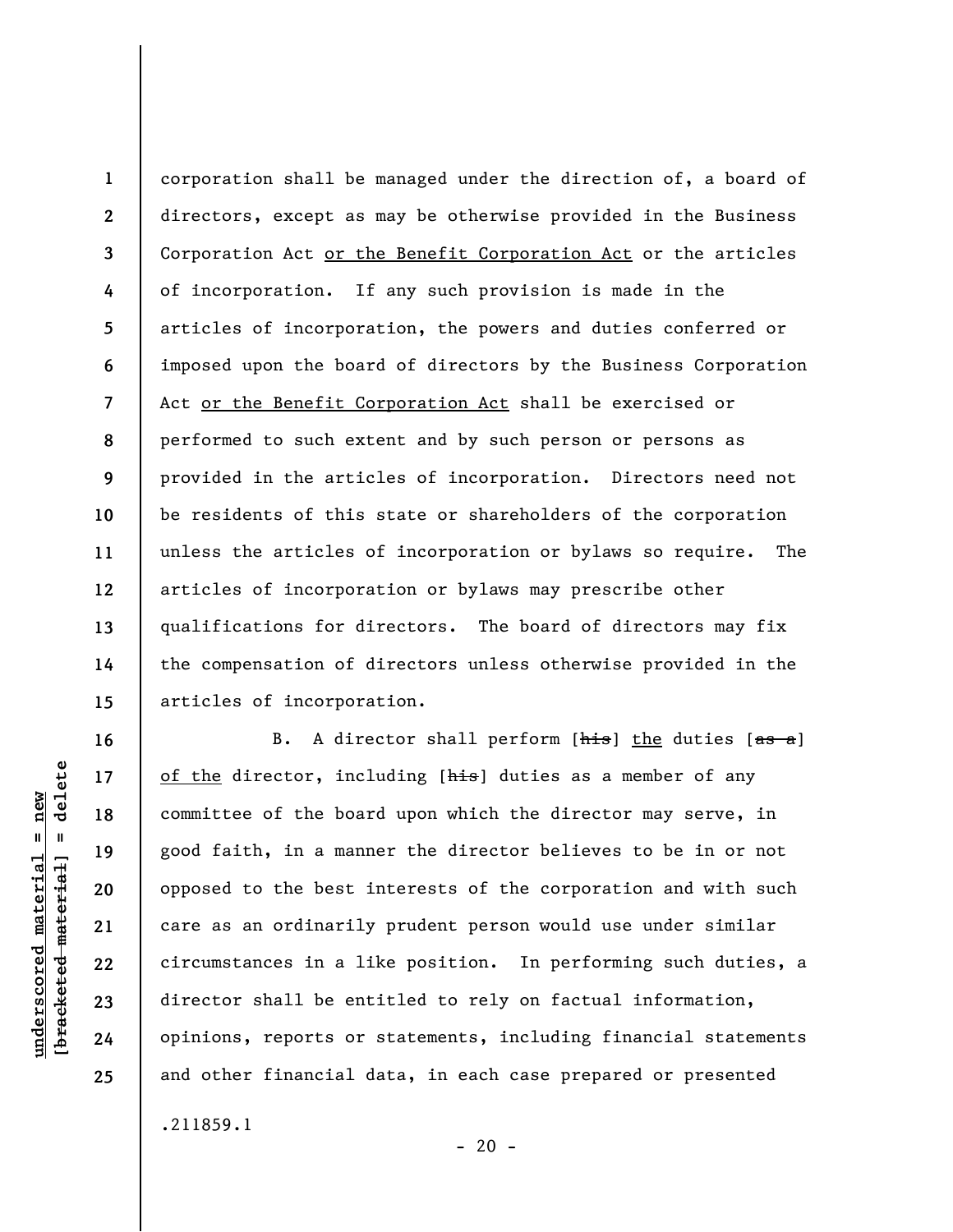**1 2 3 4 5 6 7 8 9 10 11 12 13 14 15**  corporation shall be managed under the direction of, a board of directors, except as may be otherwise provided in the Business Corporation Act or the Benefit Corporation Act or the articles of incorporation. If any such provision is made in the articles of incorporation, the powers and duties conferred or imposed upon the board of directors by the Business Corporation Act or the Benefit Corporation Act shall be exercised or performed to such extent and by such person or persons as provided in the articles of incorporation. Directors need not be residents of this state or shareholders of the corporation unless the articles of incorporation or bylaws so require. The articles of incorporation or bylaws may prescribe other qualifications for directors. The board of directors may fix the compensation of directors unless otherwise provided in the articles of incorporation.

B. A director shall perform  $[\frac{h}{h}$  the duties  $[a\frac{h}{h}$ of the director, including [his] duties as a member of any committee of the board upon which the director may serve, in good faith, in a manner the director believes to be in or not opposed to the best interests of the corporation and with such care as an ordinarily prudent person would use under similar circumstances in a like position. In performing such duties, a director shall be entitled to rely on factual information, opinions, reports or statements, including financial statements and other financial data, in each case prepared or presented

.211859.1

 $- 20 -$ 

**16** 

**17** 

**18** 

**19** 

**20** 

**21** 

**22** 

**23** 

**24**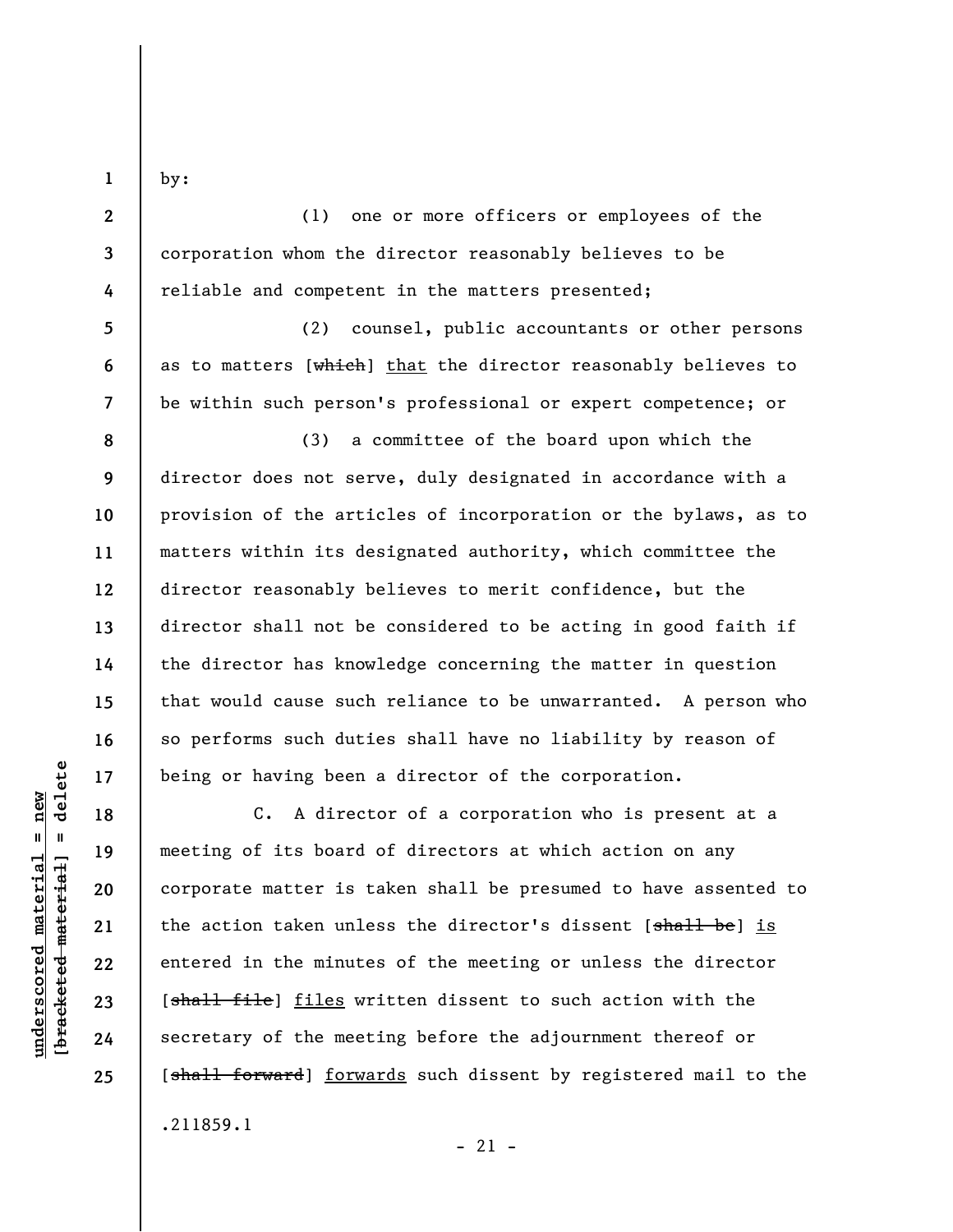by:

**1** 

**2** 

**3** 

**4** 

**5** 

**6** 

**7** 

**8** 

**9** 

**10** 

**11** 

**12** 

**13** 

**14** 

**15** 

**16** 

**17** 

**18** 

**19** 

**20** 

**21** 

**22** 

**23** 

**24** 

**25** 

(1) one or more officers or employees of the corporation whom the director reasonably believes to be reliable and competent in the matters presented;

(2) counsel, public accountants or other persons as to matters [which] that the director reasonably believes to be within such person's professional or expert competence; or

(3) a committee of the board upon which the director does not serve, duly designated in accordance with a provision of the articles of incorporation or the bylaws, as to matters within its designated authority, which committee the director reasonably believes to merit confidence, but the director shall not be considered to be acting in good faith if the director has knowledge concerning the matter in question that would cause such reliance to be unwarranted. A person who so performs such duties shall have no liability by reason of being or having been a director of the corporation.

C. A director of a corporation who is present at a meeting of its board of directors at which action on any corporate matter is taken shall be presumed to have assented to the action taken unless the director's dissent [shall be] is entered in the minutes of the meeting or unless the director [shall file] files written dissent to such action with the secretary of the meeting before the adjournment thereof or [shall forward] forwards such dissent by registered mail to the .211859.1

 $-21 -$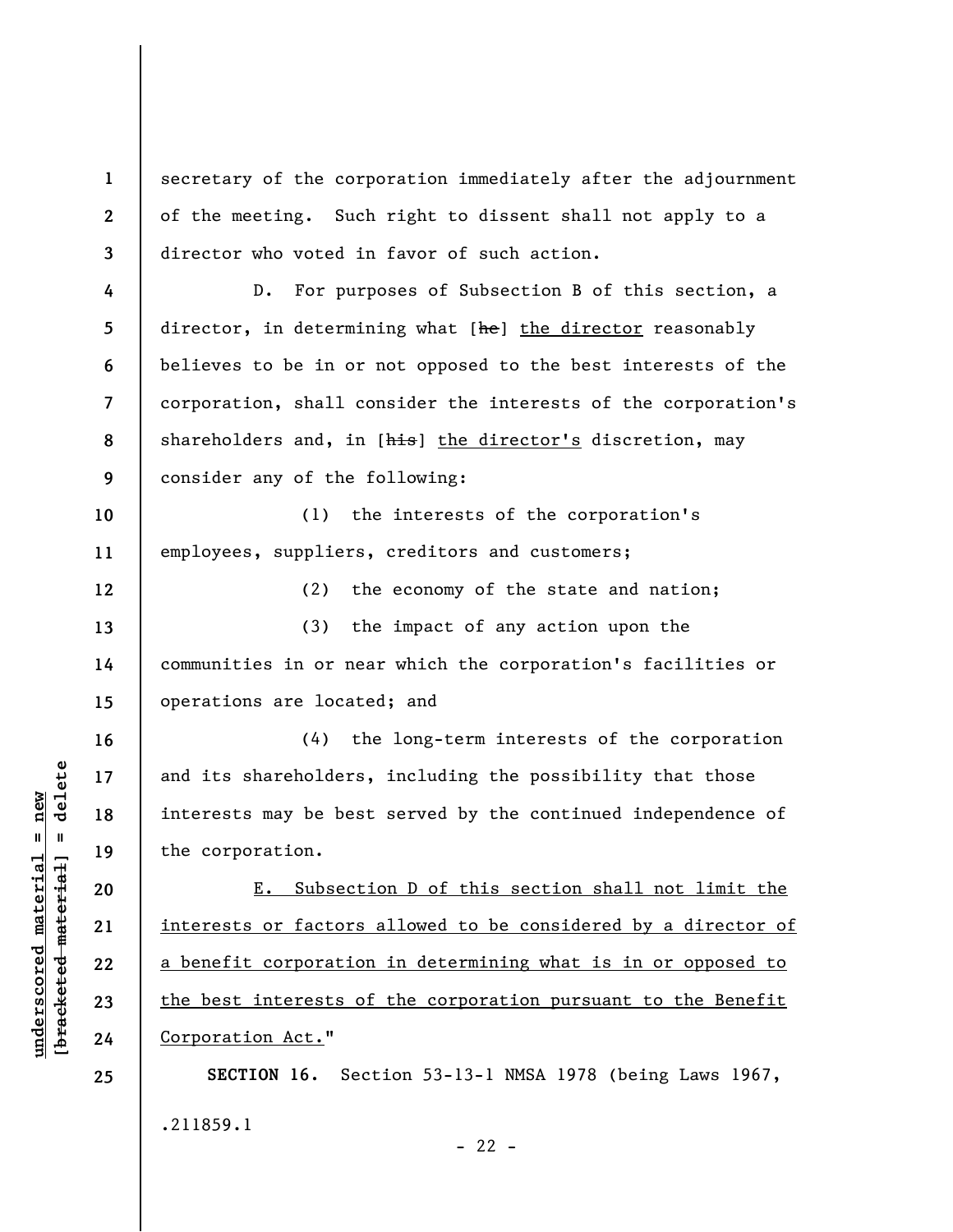**1 2 3 4 5 6 7 8 9 10 11 12 13 14 15 16 17 18 19 20 21 22 23 24 25**  secretary of the corporation immediately after the adjournment of the meeting. Such right to dissent shall not apply to a director who voted in favor of such action. D. For purposes of Subsection B of this section, a director, in determining what [he] the director reasonably believes to be in or not opposed to the best interests of the corporation, shall consider the interests of the corporation's shareholders and, in [his] the director's discretion, may consider any of the following: (1) the interests of the corporation's employees, suppliers, creditors and customers; (2) the economy of the state and nation; (3) the impact of any action upon the communities in or near which the corporation's facilities or operations are located; and (4) the long-term interests of the corporation and its shareholders, including the possibility that those interests may be best served by the continued independence of the corporation. E. Subsection D of this section shall not limit the interests or factors allowed to be considered by a director of a benefit corporation in determining what is in or opposed to the best interests of the corporation pursuant to the Benefit Corporation Act." **SECTION 16.** Section 53-13-1 NMSA 1978 (being Laws 1967, .211859.1  $- 22 -$ 

 $\frac{1}{2}$  intereted material = delete **[bracketed material] = delete**  $underscored material = new$ **underscored material = new**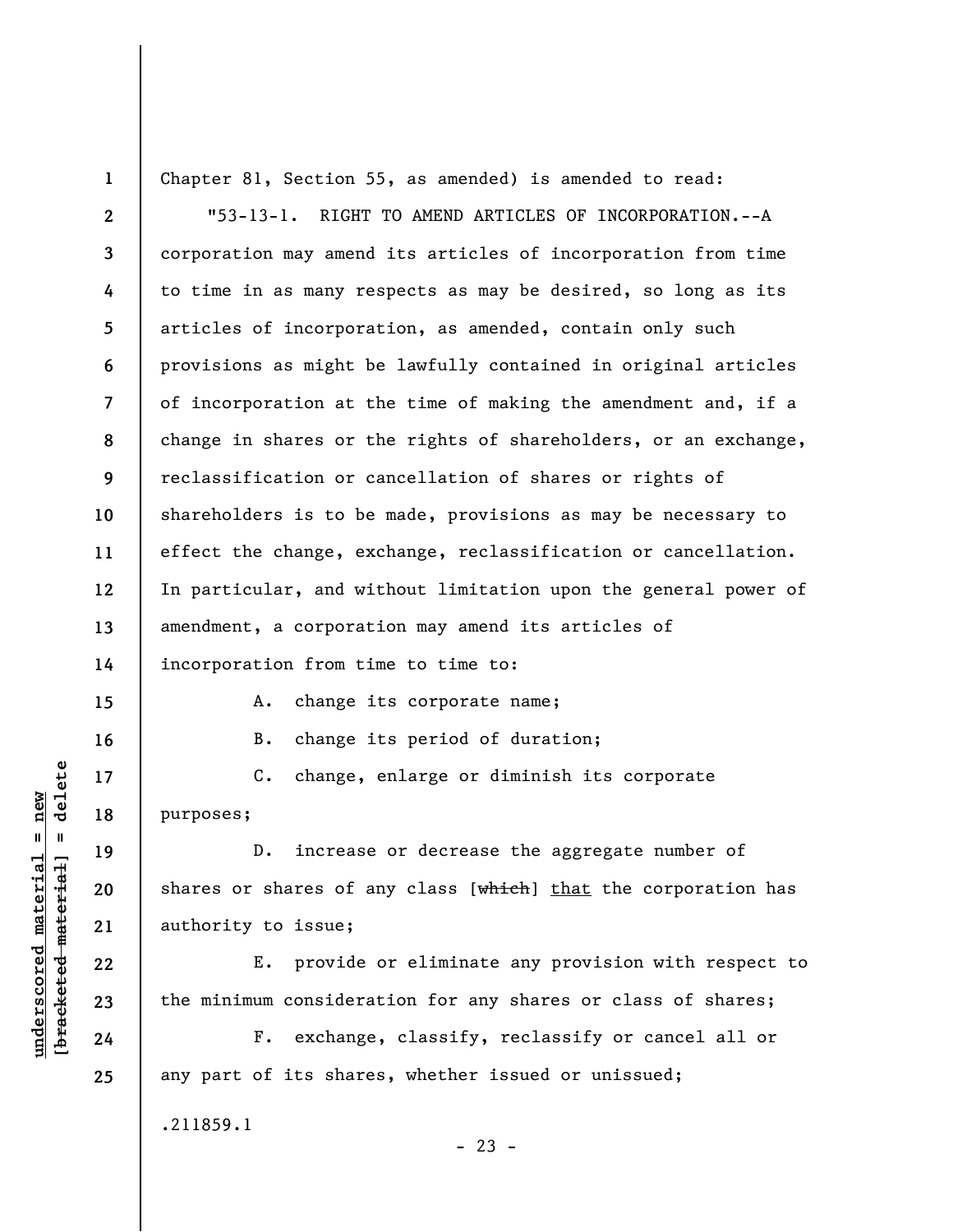**3 4 5 6 7 8 9 10 11 12 13 14 15 16**   $\frac{1}{2}$  of  $\frac{1}{2}$  and  $\frac{1}{2}$  and  $\frac{1}{2}$  and  $\frac{1}{2}$  and  $\frac{1}{2}$  and  $\frac{1}{2}$  and  $\frac{1}{2}$  and  $\frac{1}{2}$  and  $\frac{1}{2}$  and  $\frac{1}{2}$  and  $\frac{1}{2}$  and  $\frac{1}{2}$  and  $\frac{1}{2}$  and  $\frac{1}{2}$  and  $\frac{1}{2}$  an **[bracketed material] = delete 17 18**  purposes; **19 20 21 22 23 24 25** 

**1** 

**2** 

Chapter 81, Section 55, as amended) is amended to read:

"53-13-1. RIGHT TO AMEND ARTICLES OF INCORPORATION.--A corporation may amend its articles of incorporation from time to time in as many respects as may be desired, so long as its articles of incorporation, as amended, contain only such provisions as might be lawfully contained in original articles of incorporation at the time of making the amendment and, if a change in shares or the rights of shareholders, or an exchange, reclassification or cancellation of shares or rights of shareholders is to be made, provisions as may be necessary to effect the change, exchange, reclassification or cancellation. In particular, and without limitation upon the general power of amendment, a corporation may amend its articles of incorporation from time to time to:

A. change its corporate name;

B. change its period of duration;

C. change, enlarge or diminish its corporate

D. increase or decrease the aggregate number of shares or shares of any class [which] that the corporation has authority to issue;

E. provide or eliminate any provision with respect to the minimum consideration for any shares or class of shares;

F. exchange, classify, reclassify or cancel all or any part of its shares, whether issued or unissued;

.211859.1

**underscored material = new**

 $underscored material = new$ 

 $- 23 -$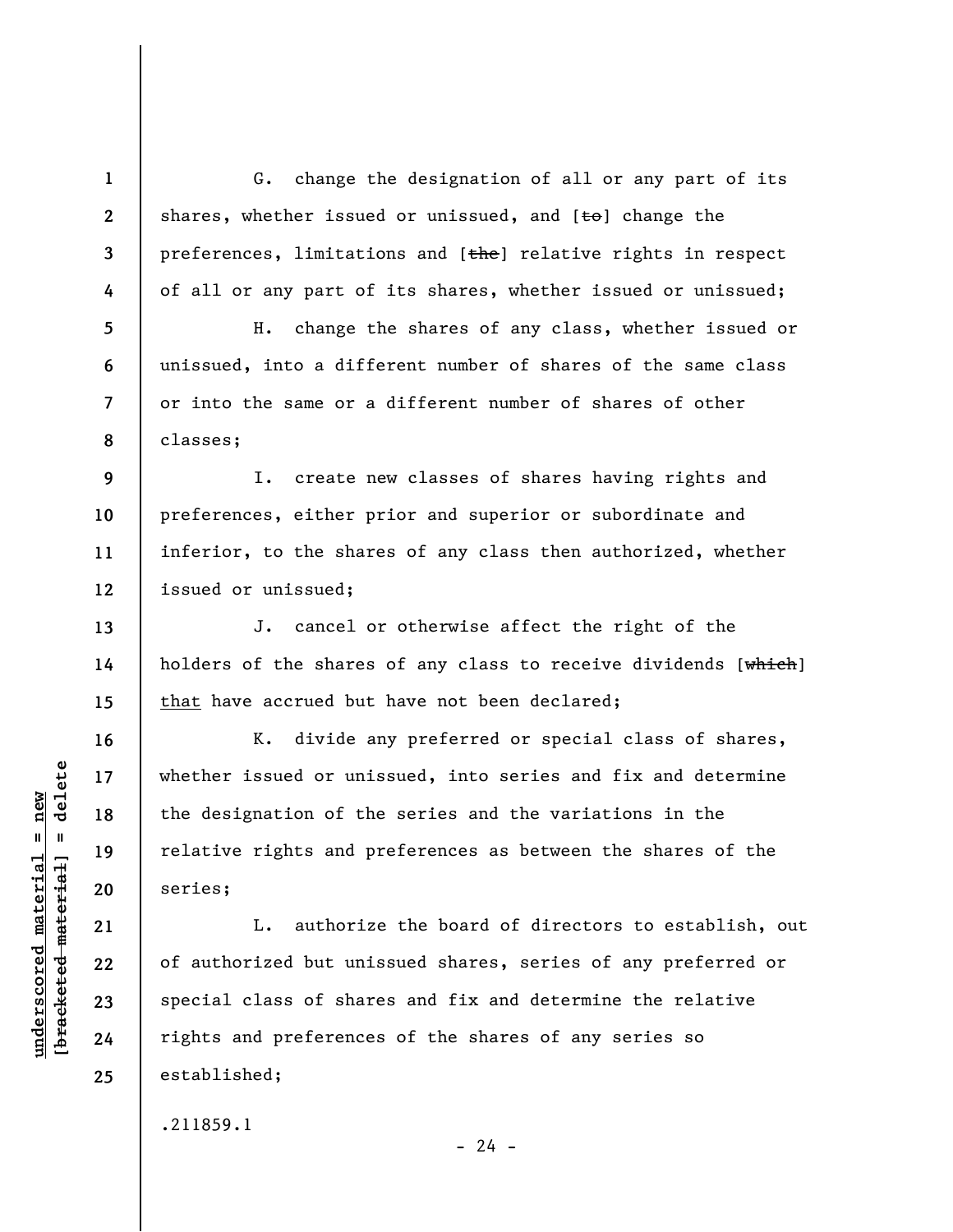G. change the designation of all or any part of its shares, whether issued or unissued, and  $[t<sub>0</sub>]$  change the preferences, limitations and [the] relative rights in respect of all or any part of its shares, whether issued or unissued;

H. change the shares of any class, whether issued or unissued, into a different number of shares of the same class or into the same or a different number of shares of other classes;

**9 10 11 12**  I. create new classes of shares having rights and preferences, either prior and superior or subordinate and inferior, to the shares of any class then authorized, whether issued or unissued;

J. cancel or otherwise affect the right of the holders of the shares of any class to receive dividends [which] that have accrued but have not been declared;

K. divide any preferred or special class of shares, whether issued or unissued, into series and fix and determine the designation of the series and the variations in the relative rights and preferences as between the shares of the series;

L. authorize the board of directors to establish, out of authorized but unissued shares, series of any preferred or special class of shares and fix and determine the relative rights and preferences of the shares of any series so established;

 $- 24 -$ 

.211859.1

 $b$ racketed material] = delete **[bracketed material] = delete**  $underscored material = new$ **underscored material = new**

**1** 

**2** 

**3** 

**4** 

**5** 

**6** 

**7** 

**8** 

**13** 

**14** 

**15** 

**16** 

**17** 

**18** 

**19** 

**20** 

**21** 

**22** 

**23** 

**24**